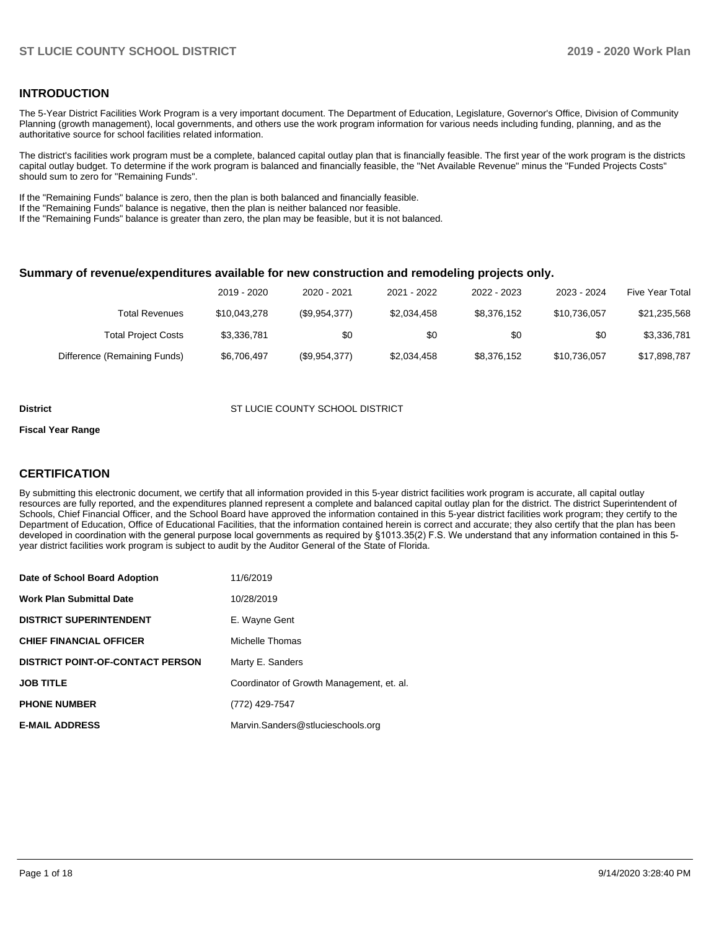### **INTRODUCTION**

The 5-Year District Facilities Work Program is a very important document. The Department of Education, Legislature, Governor's Office, Division of Community Planning (growth management), local governments, and others use the work program information for various needs including funding, planning, and as the authoritative source for school facilities related information.

The district's facilities work program must be a complete, balanced capital outlay plan that is financially feasible. The first year of the work program is the districts capital outlay budget. To determine if the work program is balanced and financially feasible, the "Net Available Revenue" minus the "Funded Projects Costs" should sum to zero for "Remaining Funds".

If the "Remaining Funds" balance is zero, then the plan is both balanced and financially feasible.

If the "Remaining Funds" balance is negative, then the plan is neither balanced nor feasible.

If the "Remaining Funds" balance is greater than zero, the plan may be feasible, but it is not balanced.

#### **Summary of revenue/expenditures available for new construction and remodeling projects only.**

| <b>Five Year Total</b> | 2023 - 2024  | 2022 - 2023 | 2021 - 2022 | 2020 - 2021   | 2019 - 2020  |                              |
|------------------------|--------------|-------------|-------------|---------------|--------------|------------------------------|
| \$21,235,568           | \$10.736.057 | \$8,376,152 | \$2,034,458 | (\$9,954,377) | \$10,043,278 | Total Revenues               |
| \$3,336,781            | \$0          | \$0         | \$0         | \$0           | \$3,336,781  | <b>Total Project Costs</b>   |
| \$17,898,787           | \$10,736,057 | \$8,376,152 | \$2,034,458 | (\$9,954,377) | \$6,706,497  | Difference (Remaining Funds) |

#### **District COUNTY SCHOOL DISTRICT COUNTY SCHOOL DISTRICT**

#### **Fiscal Year Range**

### **CERTIFICATION**

By submitting this electronic document, we certify that all information provided in this 5-year district facilities work program is accurate, all capital outlay resources are fully reported, and the expenditures planned represent a complete and balanced capital outlay plan for the district. The district Superintendent of Schools, Chief Financial Officer, and the School Board have approved the information contained in this 5-year district facilities work program; they certify to the Department of Education, Office of Educational Facilities, that the information contained herein is correct and accurate; they also certify that the plan has been developed in coordination with the general purpose local governments as required by §1013.35(2) F.S. We understand that any information contained in this 5 year district facilities work program is subject to audit by the Auditor General of the State of Florida.

| Date of School Board Adoption           | 11/6/2019                                 |
|-----------------------------------------|-------------------------------------------|
| <b>Work Plan Submittal Date</b>         | 10/28/2019                                |
| <b>DISTRICT SUPERINTENDENT</b>          | E. Wayne Gent                             |
| <b>CHIEF FINANCIAL OFFICER</b>          | Michelle Thomas                           |
| <b>DISTRICT POINT-OF-CONTACT PERSON</b> | Marty E. Sanders                          |
| <b>JOB TITLE</b>                        | Coordinator of Growth Management, et. al. |
| <b>PHONE NUMBER</b>                     | (772) 429-7547                            |
| <b>E-MAIL ADDRESS</b>                   | Marvin.Sanders@stlucieschools.org         |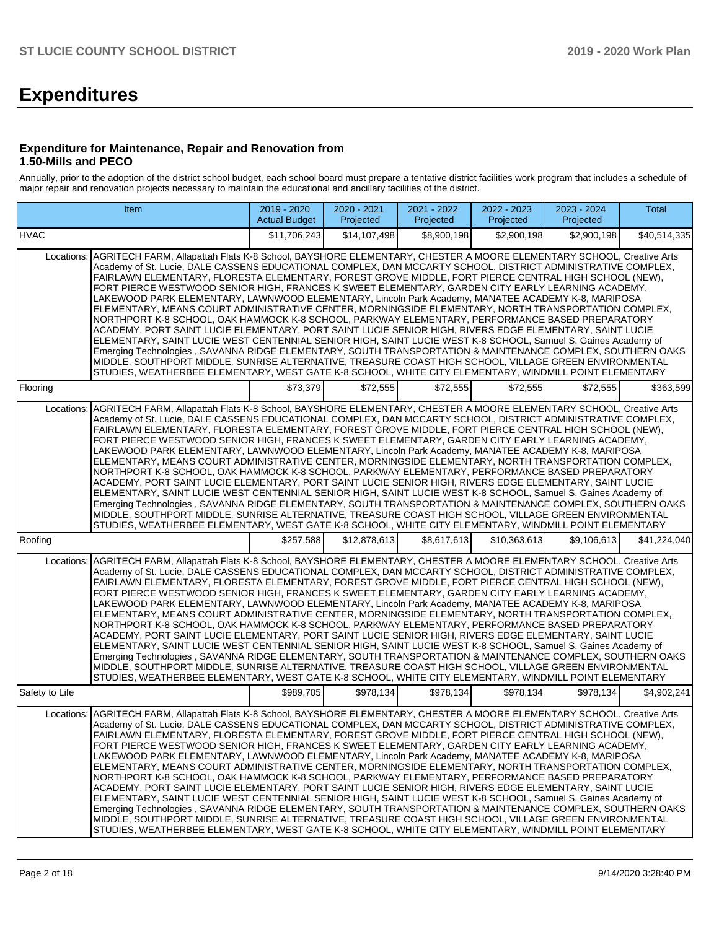# **Expenditures**

### **Expenditure for Maintenance, Repair and Renovation from 1.50-Mills and PECO**

Annually, prior to the adoption of the district school budget, each school board must prepare a tentative district facilities work program that includes a schedule of major repair and renovation projects necessary to maintain the educational and ancillary facilities of the district.

| Item                                                                                                                                                                                                                                                                                                                                                                                                                                                                                                                                                                                                                                                                                                                                                                                                                                                                                                                                                                                                                                                                                                                                                                                                                                                                                                                                         | 2019 - 2020<br><b>Actual Budget</b> | 2020 - 2021<br>Projected | 2021 - 2022<br>Projected | 2022 - 2023<br>Projected | 2023 - 2024<br>Projected | Total        |  |  |  |  |  |
|----------------------------------------------------------------------------------------------------------------------------------------------------------------------------------------------------------------------------------------------------------------------------------------------------------------------------------------------------------------------------------------------------------------------------------------------------------------------------------------------------------------------------------------------------------------------------------------------------------------------------------------------------------------------------------------------------------------------------------------------------------------------------------------------------------------------------------------------------------------------------------------------------------------------------------------------------------------------------------------------------------------------------------------------------------------------------------------------------------------------------------------------------------------------------------------------------------------------------------------------------------------------------------------------------------------------------------------------|-------------------------------------|--------------------------|--------------------------|--------------------------|--------------------------|--------------|--|--|--|--|--|
| <b>HVAC</b>                                                                                                                                                                                                                                                                                                                                                                                                                                                                                                                                                                                                                                                                                                                                                                                                                                                                                                                                                                                                                                                                                                                                                                                                                                                                                                                                  | \$11,706,243                        | \$14,107,498             | \$8,900,198              | \$2,900,198              | \$2,900,198              | \$40,514,335 |  |  |  |  |  |
| AGRITECH FARM, Allapattah Flats K-8 School, BAYSHORE ELEMENTARY, CHESTER A MOORE ELEMENTARY SCHOOL, Creative Arts<br>Locations:<br>Academy of St. Lucie, DALE CASSENS EDUCATIONAL COMPLEX, DAN MCCARTY SCHOOL, DISTRICT ADMINISTRATIVE COMPLEX,<br>FAIRLAWN ELEMENTARY, FLORESTA ELEMENTARY, FOREST GROVE MIDDLE, FORT PIERCE CENTRAL HIGH SCHOOL (NEW),<br>FORT PIERCE WESTWOOD SENIOR HIGH, FRANCES K SWEET ELEMENTARY, GARDEN CITY EARLY LEARNING ACADEMY,<br>LAKEWOOD PARK ELEMENTARY, LAWNWOOD ELEMENTARY, Lincoln Park Academy, MANATEE ACADEMY K-8, MARIPOSA<br>ELEMENTARY, MEANS COURT ADMINISTRATIVE CENTER, MORNINGSIDE ELEMENTARY, NORTH TRANSPORTATION COMPLEX,<br>NORTHPORT K-8 SCHOOL, OAK HAMMOCK K-8 SCHOOL, PARKWAY ELEMENTARY, PERFORMANCE BASED PREPARATORY<br>ACADEMY, PORT SAINT LUCIE ELEMENTARY, PORT SAINT LUCIE SENIOR HIGH, RIVERS EDGE ELEMENTARY, SAINT LUCIE<br>ELEMENTARY, SAINT LUCIE WEST CENTENNIAL SENIOR HIGH, SAINT LUCIE WEST K-8 SCHOOL, Samuel S. Gaines Academy of<br>Emerging Technologies, SAVANNA RIDGE ELEMENTARY, SOUTH TRANSPORTATION & MAINTENANCE COMPLEX, SOUTHERN OAKS<br>MIDDLE, SOUTHPORT MIDDLE, SUNRISE ALTERNATIVE, TREASURE COAST HIGH SCHOOL, VILLAGE GREEN ENVIRONMENTAL<br>STUDIES, WEATHERBEE ELEMENTARY, WEST GATE K-8 SCHOOL, WHITE CITY ELEMENTARY, WINDMILL POINT ELEMENTARY |                                     |                          |                          |                          |                          |              |  |  |  |  |  |
| Flooring                                                                                                                                                                                                                                                                                                                                                                                                                                                                                                                                                                                                                                                                                                                                                                                                                                                                                                                                                                                                                                                                                                                                                                                                                                                                                                                                     | \$73,379                            | \$72,555                 | \$72,555                 | \$72,555                 | \$72,555                 | \$363,599    |  |  |  |  |  |
| AGRITECH FARM, Allapattah Flats K-8 School, BAYSHORE ELEMENTARY, CHESTER A MOORE ELEMENTARY SCHOOL, Creative Arts<br>Locations:<br>Academy of St. Lucie, DALE CASSENS EDUCATIONAL COMPLEX, DAN MCCARTY SCHOOL, DISTRICT ADMINISTRATIVE COMPLEX,<br>FAIRLAWN ELEMENTARY, FLORESTA ELEMENTARY, FOREST GROVE MIDDLE, FORT PIERCE CENTRAL HIGH SCHOOL (NEW),<br>FORT PIERCE WESTWOOD SENIOR HIGH, FRANCES K SWEET ELEMENTARY, GARDEN CITY EARLY LEARNING ACADEMY,<br>LAKEWOOD PARK ELEMENTARY, LAWNWOOD ELEMENTARY, Lincoln Park Academy, MANATEE ACADEMY K-8, MARIPOSA<br>ELEMENTARY, MEANS COURT ADMINISTRATIVE CENTER, MORNINGSIDE ELEMENTARY, NORTH TRANSPORTATION COMPLEX,<br>NORTHPORT K-8 SCHOOL, OAK HAMMOCK K-8 SCHOOL, PARKWAY ELEMENTARY, PERFORMANCE BASED PREPARATORY<br>ACADEMY, PORT SAINT LUCIE ELEMENTARY, PORT SAINT LUCIE SENIOR HIGH, RIVERS EDGE ELEMENTARY, SAINT LUCIE<br>ELEMENTARY, SAINT LUCIE WEST CENTENNIAL SENIOR HIGH, SAINT LUCIE WEST K-8 SCHOOL, Samuel S. Gaines Academy of<br>Emerging Technologies, SAVANNA RIDGE ELEMENTARY, SOUTH TRANSPORTATION & MAINTENANCE COMPLEX, SOUTHERN OAKS<br>MIDDLE, SOUTHPORT MIDDLE, SUNRISE ALTERNATIVE, TREASURE COAST HIGH SCHOOL, VILLAGE GREEN ENVIRONMENTAL<br>STUDIES, WEATHERBEE ELEMENTARY, WEST GATE K-8 SCHOOL, WHITE CITY ELEMENTARY, WINDMILL POINT ELEMENTARY |                                     |                          |                          |                          |                          |              |  |  |  |  |  |
| Roofing                                                                                                                                                                                                                                                                                                                                                                                                                                                                                                                                                                                                                                                                                                                                                                                                                                                                                                                                                                                                                                                                                                                                                                                                                                                                                                                                      | \$257,588                           | \$12,878,613             | \$8,617,613              | \$10,363,613             | \$9.106.613              | \$41,224,040 |  |  |  |  |  |
| AGRITECH FARM, Allapattah Flats K-8 School, BAYSHORE ELEMENTARY, CHESTER A MOORE ELEMENTARY SCHOOL, Creative Arts<br>Locations:<br>Academy of St. Lucie, DALE CASSENS EDUCATIONAL COMPLEX, DAN MCCARTY SCHOOL, DISTRICT ADMINISTRATIVE COMPLEX,<br>FAIRLAWN ELEMENTARY, FLORESTA ELEMENTARY, FOREST GROVE MIDDLE, FORT PIERCE CENTRAL HIGH SCHOOL (NEW),<br>FORT PIERCE WESTWOOD SENIOR HIGH, FRANCES K SWEET ELEMENTARY, GARDEN CITY EARLY LEARNING ACADEMY,<br>LAKEWOOD PARK ELEMENTARY, LAWNWOOD ELEMENTARY, Lincoln Park Academy, MANATEE ACADEMY K-8, MARIPOSA<br>ELEMENTARY, MEANS COURT ADMINISTRATIVE CENTER, MORNINGSIDE ELEMENTARY, NORTH TRANSPORTATION COMPLEX,<br>NORTHPORT K-8 SCHOOL, OAK HAMMOCK K-8 SCHOOL, PARKWAY ELEMENTARY, PERFORMANCE BASED PREPARATORY<br>ACADEMY, PORT SAINT LUCIE ELEMENTARY, PORT SAINT LUCIE SENIOR HIGH, RIVERS EDGE ELEMENTARY, SAINT LUCIE<br>ELEMENTARY, SAINT LUCIE WEST CENTENNIAL SENIOR HIGH, SAINT LUCIE WEST K-8 SCHOOL, Samuel S. Gaines Academy of<br>Emerging Technologies, SAVANNA RIDGE ELEMENTARY, SOUTH TRANSPORTATION & MAINTENANCE COMPLEX, SOUTHERN OAKS<br>MIDDLE, SOUTHPORT MIDDLE, SUNRISE ALTERNATIVE, TREASURE COAST HIGH SCHOOL, VILLAGE GREEN ENVIRONMENTAL<br>STUDIES, WEATHERBEE ELEMENTARY, WEST GATE K-8 SCHOOL, WHITE CITY ELEMENTARY, WINDMILL POINT ELEMENTARY |                                     |                          |                          |                          |                          |              |  |  |  |  |  |
| Safety to Life                                                                                                                                                                                                                                                                                                                                                                                                                                                                                                                                                                                                                                                                                                                                                                                                                                                                                                                                                                                                                                                                                                                                                                                                                                                                                                                               | \$989,705                           | \$978,134                | \$978,134                | \$978,134                | \$978,134                | \$4,902,241  |  |  |  |  |  |
| AGRITECH FARM, Allapattah Flats K-8 School, BAYSHORE ELEMENTARY, CHESTER A MOORE ELEMENTARY SCHOOL, Creative Arts<br>Locations:<br>Academy of St. Lucie, DALE CASSENS EDUCATIONAL COMPLEX, DAN MCCARTY SCHOOL, DISTRICT ADMINISTRATIVE COMPLEX,<br>FAIRLAWN ELEMENTARY, FLORESTA ELEMENTARY, FOREST GROVE MIDDLE, FORT PIERCE CENTRAL HIGH SCHOOL (NEW),<br>FORT PIERCE WESTWOOD SENIOR HIGH, FRANCES K SWEET ELEMENTARY, GARDEN CITY EARLY LEARNING ACADEMY,<br>LAKEWOOD PARK ELEMENTARY, LAWNWOOD ELEMENTARY, Lincoln Park Academy, MANATEE ACADEMY K-8, MARIPOSA<br>ELEMENTARY, MEANS COURT ADMINISTRATIVE CENTER, MORNINGSIDE ELEMENTARY, NORTH TRANSPORTATION COMPLEX,<br>NORTHPORT K-8 SCHOOL, OAK HAMMOCK K-8 SCHOOL, PARKWAY ELEMENTARY, PERFORMANCE BASED PREPARATORY<br>ACADEMY, PORT SAINT LUCIE ELEMENTARY, PORT SAINT LUCIE SENIOR HIGH, RIVERS EDGE ELEMENTARY, SAINT LUCIE<br>ELEMENTARY, SAINT LUCIE WEST CENTENNIAL SENIOR HIGH, SAINT LUCIE WEST K-8 SCHOOL, Samuel S, Gaines Academy of<br>Emerging Technologies, SAVANNA RIDGE ELEMENTARY, SOUTH TRANSPORTATION & MAINTENANCE COMPLEX, SOUTHERN OAKS<br>MIDDLE, SOUTHPORT MIDDLE, SUNRISE ALTERNATIVE, TREASURE COAST HIGH SCHOOL, VILLAGE GREEN ENVIRONMENTAL<br>STUDIES, WEATHERBEE ELEMENTARY, WEST GATE K-8 SCHOOL, WHITE CITY ELEMENTARY, WINDMILL POINT ELEMENTARY |                                     |                          |                          |                          |                          |              |  |  |  |  |  |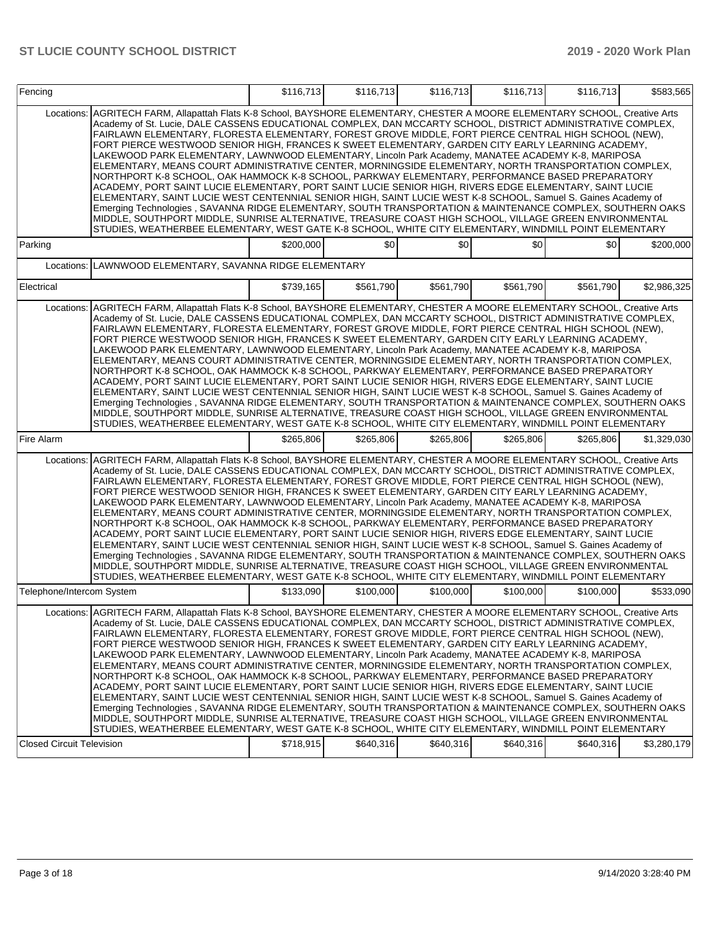| Fencing                          |                                                                                                                                                                                                                                                                                                                                                                                                                                                                                                                                                                                                                                                                                                                                                                                                                                                                                                                                                                                                                                                                                                                                                                                                                                                                                                                                              | \$116,713 | \$116,713 | \$116,713 | \$116,713 | \$116,713 | \$583.565   |
|----------------------------------|----------------------------------------------------------------------------------------------------------------------------------------------------------------------------------------------------------------------------------------------------------------------------------------------------------------------------------------------------------------------------------------------------------------------------------------------------------------------------------------------------------------------------------------------------------------------------------------------------------------------------------------------------------------------------------------------------------------------------------------------------------------------------------------------------------------------------------------------------------------------------------------------------------------------------------------------------------------------------------------------------------------------------------------------------------------------------------------------------------------------------------------------------------------------------------------------------------------------------------------------------------------------------------------------------------------------------------------------|-----------|-----------|-----------|-----------|-----------|-------------|
| Locations:                       | AGRITECH FARM, Allapattah Flats K-8 School, BAYSHORE ELEMENTARY, CHESTER A MOORE ELEMENTARY SCHOOL, Creative Arts<br>Academy of St. Lucie, DALE CASSENS EDUCATIONAL COMPLEX, DAN MCCARTY SCHOOL, DISTRICT ADMINISTRATIVE COMPLEX,<br>FAIRLAWN ELEMENTARY, FLORESTA ELEMENTARY, FOREST GROVE MIDDLE, FORT PIERCE CENTRAL HIGH SCHOOL (NEW),<br>FORT PIERCE WESTWOOD SENIOR HIGH, FRANCES K SWEET ELEMENTARY, GARDEN CITY EARLY LEARNING ACADEMY,<br>LAKEWOOD PARK ELEMENTARY, LAWNWOOD ELEMENTARY, Lincoln Park Academy, MANATEE ACADEMY K-8, MARIPOSA<br>ELEMENTARY, MEANS COURT ADMINISTRATIVE CENTER, MORNINGSIDE ELEMENTARY, NORTH TRANSPORTATION COMPLEX,<br>NORTHPORT K-8 SCHOOL, OAK HAMMOCK K-8 SCHOOL, PARKWAY ELEMENTARY, PERFORMANCE BASED PREPARATORY<br>ACADEMY, PORT SAINT LUCIE ELEMENTARY, PORT SAINT LUCIE SENIOR HIGH, RIVERS EDGE ELEMENTARY, SAINT LUCIE<br>ELEMENTARY, SAINT LUCIE WEST CENTENNIAL SENIOR HIGH, SAINT LUCIE WEST K-8 SCHOOL, Samuel S. Gaines Academy of<br>Emerging Technologies, SAVANNA RIDGE ELEMENTARY, SOUTH TRANSPORTATION & MAINTENANCE COMPLEX, SOUTHERN OAKS<br>MIDDLE, SOUTHPORT MIDDLE, SUNRISE ALTERNATIVE, TREASURE COAST HIGH SCHOOL, VILLAGE GREEN ENVIRONMENTAL<br>STUDIES, WEATHERBEE ELEMENTARY, WEST GATE K-8 SCHOOL, WHITE CITY ELEMENTARY, WINDMILL POINT ELEMENTARY               |           |           |           |           |           |             |
| Parking                          |                                                                                                                                                                                                                                                                                                                                                                                                                                                                                                                                                                                                                                                                                                                                                                                                                                                                                                                                                                                                                                                                                                                                                                                                                                                                                                                                              | \$200,000 | \$0       | \$0       | \$0       | \$0       | \$200,000   |
| Locations:                       | LAWNWOOD ELEMENTARY, SAVANNA RIDGE ELEMENTARY                                                                                                                                                                                                                                                                                                                                                                                                                                                                                                                                                                                                                                                                                                                                                                                                                                                                                                                                                                                                                                                                                                                                                                                                                                                                                                |           |           |           |           |           |             |
| Electrical                       |                                                                                                                                                                                                                                                                                                                                                                                                                                                                                                                                                                                                                                                                                                                                                                                                                                                                                                                                                                                                                                                                                                                                                                                                                                                                                                                                              | \$739,165 | \$561,790 | \$561,790 | \$561,790 | \$561,790 | \$2,986,325 |
|                                  | Locations:   AGRITECH FARM, Allapattah Flats K-8 School, BAYSHORE ELEMENTARY, CHESTER A MOORE ELEMENTARY SCHOOL, Creative Arts<br>Academy of St. Lucie, DALE CASSENS EDUCATIONAL COMPLEX, DAN MCCARTY SCHOOL, DISTRICT ADMINISTRATIVE COMPLEX,<br>FAIRLAWN ELEMENTARY, FLORESTA ELEMENTARY, FOREST GROVE MIDDLE, FORT PIERCE CENTRAL HIGH SCHOOL (NEW),<br>FORT PIERCE WESTWOOD SENIOR HIGH, FRANCES K SWEET ELEMENTARY, GARDEN CITY EARLY LEARNING ACADEMY,<br>LAKEWOOD PARK ELEMENTARY, LAWNWOOD ELEMENTARY, Lincoln Park Academy, MANATEE ACADEMY K-8, MARIPOSA<br>ELEMENTARY, MEANS COURT ADMINISTRATIVE CENTER, MORNINGSIDE ELEMENTARY, NORTH TRANSPORTATION COMPLEX,<br>NORTHPORT K-8 SCHOOL, OAK HAMMOCK K-8 SCHOOL, PARKWAY ELEMENTARY, PERFORMANCE BASED PREPARATORY<br>ACADEMY, PORT SAINT LUCIE ELEMENTARY, PORT SAINT LUCIE SENIOR HIGH, RIVERS EDGE ELEMENTARY, SAINT LUCIE<br>ELEMENTARY, SAINT LUCIE WEST CENTENNIAL SENIOR HIGH, SAINT LUCIE WEST K-8 SCHOOL, Samuel S. Gaines Academy of<br>Emerging Technologies , SAVANNA RIDGE ELEMENTARY, SOUTH TRANSPORTATION & MAINTENANCE COMPLEX, SOUTHERN OAKS<br>MIDDLE, SOUTHPORT MIDDLE, SUNRISE ALTERNATIVE, TREASURE COAST HIGH SCHOOL, VILLAGE GREEN ENVIRONMENTAL<br>STUDIES, WEATHERBEE ELEMENTARY, WEST GATE K-8 SCHOOL, WHITE CITY ELEMENTARY, WINDMILL POINT ELEMENTARY |           |           |           |           |           |             |
| Fire Alarm                       |                                                                                                                                                                                                                                                                                                                                                                                                                                                                                                                                                                                                                                                                                                                                                                                                                                                                                                                                                                                                                                                                                                                                                                                                                                                                                                                                              | \$265,806 | \$265,806 | \$265,806 | \$265,806 | \$265,806 | \$1,329,030 |
| Locations:                       | AGRITECH FARM, Allapattah Flats K-8 School, BAYSHORE ELEMENTARY, CHESTER A MOORE ELEMENTARY SCHOOL, Creative Arts<br>Academy of St. Lucie, DALE CASSENS EDUCATIONAL COMPLEX, DAN MCCARTY SCHOOL, DISTRICT ADMINISTRATIVE COMPLEX,<br>FAIRLAWN ELEMENTARY, FLORESTA ELEMENTARY, FOREST GROVE MIDDLE, FORT PIERCE CENTRAL HIGH SCHOOL (NEW),<br>FORT PIERCE WESTWOOD SENIOR HIGH, FRANCES K SWEET ELEMENTARY, GARDEN CITY EARLY LEARNING ACADEMY,<br>LAKEWOOD PARK ELEMENTARY, LAWNWOOD ELEMENTARY, Lincoln Park Academy, MANATEE ACADEMY K-8, MARIPOSA<br>ELEMENTARY, MEANS COURT ADMINISTRATIVE CENTER, MORNINGSIDE ELEMENTARY, NORTH TRANSPORTATION COMPLEX,<br>NORTHPORT K-8 SCHOOL, OAK HAMMOCK K-8 SCHOOL, PARKWAY ELEMENTARY, PERFORMANCE BASED PREPARATORY<br>ACADEMY, PORT SAINT LUCIE ELEMENTARY, PORT SAINT LUCIE SENIOR HIGH, RIVERS EDGE ELEMENTARY, SAINT LUCIE<br>ELEMENTARY, SAINT LUCIE WEST CENTENNIAL SENIOR HIGH, SAINT LUCIE WEST K-8 SCHOOL, Samuel S. Gaines Academy of<br>Emerging Technologies, SAVANNA RIDGE ELEMENTARY, SOUTH TRANSPORTATION & MAINTENANCE COMPLEX, SOUTHERN OAKS<br>MIDDLE, SOUTHPORT MIDDLE, SUNRISE ALTERNATIVE, TREASURE COAST HIGH SCHOOL, VILLAGE GREEN ENVIRONMENTAL<br>STUDIES, WEATHERBEE ELEMENTARY, WEST GATE K-8 SCHOOL, WHITE CITY ELEMENTARY, WINDMILL POINT ELEMENTARY               |           |           |           |           |           |             |
| Telephone/Intercom System        |                                                                                                                                                                                                                                                                                                                                                                                                                                                                                                                                                                                                                                                                                                                                                                                                                                                                                                                                                                                                                                                                                                                                                                                                                                                                                                                                              | \$133,090 | \$100,000 | \$100,000 | \$100,000 | \$100,000 | \$533,090   |
| <b>Closed Circuit Television</b> | Locations: AGRITECH FARM, Allapattah Flats K-8 School, BAYSHORE ELEMENTARY, CHESTER A MOORE ELEMENTARY SCHOOL, Creative Arts<br>Academy of St. Lucie, DALE CASSENS EDUCATIONAL COMPLEX, DAN MCCARTY SCHOOL, DISTRICT ADMINISTRATIVE COMPLEX,<br>FAIRLAWN ELEMENTARY, FLORESTA ELEMENTARY, FOREST GROVE MIDDLE, FORT PIERCE CENTRAL HIGH SCHOOL (NEW),<br>FORT PIERCE WESTWOOD SENIOR HIGH, FRANCES K SWEET ELEMENTARY, GARDEN CITY EARLY LEARNING ACADEMY,<br>LAKEWOOD PARK ELEMENTARY, LAWNWOOD ELEMENTARY, Lincoln Park Academy, MANATEE ACADEMY K-8, MARIPOSA<br>ELEMENTARY, MEANS COURT ADMINISTRATIVE CENTER, MORNINGSIDE ELEMENTARY, NORTH TRANSPORTATION COMPLEX,<br>NORTHPORT K-8 SCHOOL, OAK HAMMOCK K-8 SCHOOL, PARKWAY ELEMENTARY, PERFORMANCE BASED PREPARATORY<br>ACADEMY, PORT SAINT LUCIE ELEMENTARY, PORT SAINT LUCIE SENIOR HIGH, RIVERS EDGE ELEMENTARY, SAINT LUCIE<br>ELEMENTARY, SAINT LUCIE WEST CENTENNIAL SENIOR HIGH, SAINT LUCIE WEST K-8 SCHOOL, Samuel S. Gaines Academy of<br>Emerging Technologies , SAVANNA RIDGE ELEMENTARY, SOUTH TRANSPORTATION & MAINTENANCE COMPLEX, SOUTHERN OAKS<br>MIDDLE, SOUTHPORT MIDDLE, SUNRISE ALTERNATIVE, TREASURE COAST HIGH SCHOOL, VILLAGE GREEN ENVIRONMENTAL<br>STUDIES, WEATHERBEE ELEMENTARY, WEST GATE K-8 SCHOOL, WHITE CITY ELEMENTARY, WINDMILL POINT ELEMENTARY   | \$718,915 | \$640,316 | \$640,316 | \$640,316 | \$640,316 | \$3,280,179 |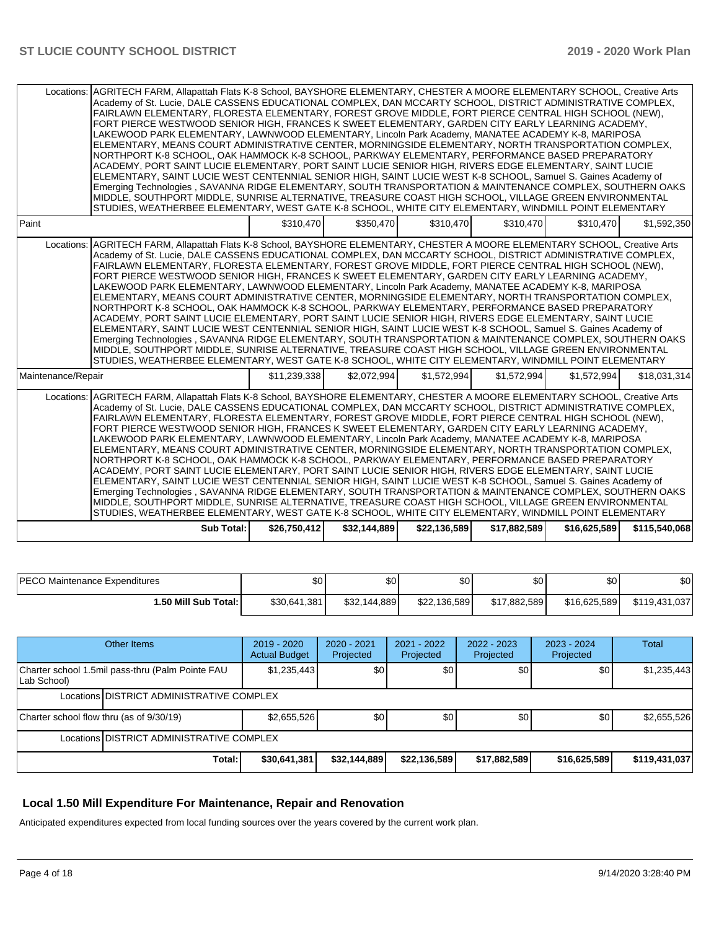| Locations:         | AGRITECH FARM, Allapattah Flats K-8 School, BAYSHORE ELEMENTARY, CHESTER A MOORE ELEMENTARY SCHOOL, Creative Arts<br>Academy of St. Lucie, DALE CASSENS EDUCATIONAL COMPLEX, DAN MCCARTY SCHOOL, DISTRICT ADMINISTRATIVE COMPLEX,<br>FAIRLAWN ELEMENTARY, FLORESTA ELEMENTARY, FOREST GROVE MIDDLE, FORT PIERCE CENTRAL HIGH SCHOOL (NEW),<br>FORT PIERCE WESTWOOD SENIOR HIGH, FRANCES K SWEET ELEMENTARY, GARDEN CITY EARLY LEARNING ACADEMY,<br>LAKEWOOD PARK ELEMENTARY, LAWNWOOD ELEMENTARY, Lincoln Park Academy, MANATEE ACADEMY K-8, MARIPOSA<br>ELEMENTARY, MEANS COURT ADMINISTRATIVE CENTER, MORNINGSIDE ELEMENTARY, NORTH TRANSPORTATION COMPLEX,<br>NORTHPORT K-8 SCHOOL, OAK HAMMOCK K-8 SCHOOL, PARKWAY ELEMENTARY, PERFORMANCE BASED PREPARATORY<br>ACADEMY, PORT SAINT LUCIE ELEMENTARY, PORT SAINT LUCIE SENIOR HIGH, RIVERS EDGE ELEMENTARY, SAINT LUCIE<br>ELEMENTARY, SAINT LUCIE WEST CENTENNIAL SENIOR HIGH, SAINT LUCIE WEST K-8 SCHOOL, Samuel S. Gaines Academy of<br>Emerging Technologies, SAVANNA RIDGE ELEMENTARY, SOUTH TRANSPORTATION & MAINTENANCE COMPLEX, SOUTHERN OAKS<br>MIDDLE, SOUTHPORT MIDDLE, SUNRISE ALTERNATIVE, TREASURE COAST HIGH SCHOOL, VILLAGE GREEN ENVIRONMENTAL<br>STUDIES, WEATHERBEE ELEMENTARY, WEST GATE K-8 SCHOOL, WHITE CITY ELEMENTARY, WINDMILL POINT ELEMENTARY            |              |              |              |              |              |               |
|--------------------|-------------------------------------------------------------------------------------------------------------------------------------------------------------------------------------------------------------------------------------------------------------------------------------------------------------------------------------------------------------------------------------------------------------------------------------------------------------------------------------------------------------------------------------------------------------------------------------------------------------------------------------------------------------------------------------------------------------------------------------------------------------------------------------------------------------------------------------------------------------------------------------------------------------------------------------------------------------------------------------------------------------------------------------------------------------------------------------------------------------------------------------------------------------------------------------------------------------------------------------------------------------------------------------------------------------------------------------------|--------------|--------------|--------------|--------------|--------------|---------------|
| Paint              |                                                                                                                                                                                                                                                                                                                                                                                                                                                                                                                                                                                                                                                                                                                                                                                                                                                                                                                                                                                                                                                                                                                                                                                                                                                                                                                                           | \$310,470    | \$350,470    | \$310,470    | \$310,470    | \$310,470    | \$1,592,350   |
| Locations:         | AGRITECH FARM, Allapattah Flats K-8 School, BAYSHORE ELEMENTARY, CHESTER A MOORE ELEMENTARY SCHOOL, Creative Arts<br>Academy of St. Lucie, DALE CASSENS EDUCATIONAL COMPLEX, DAN MCCARTY SCHOOL, DISTRICT ADMINISTRATIVE COMPLEX,<br>FAIRLAWN ELEMENTARY. FLORESTA ELEMENTARY. FOREST GROVE MIDDLE. FORT PIERCE CENTRAL HIGH SCHOOL (NEW).<br>FORT PIERCE WESTWOOD SENIOR HIGH, FRANCES K SWEET ELEMENTARY, GARDEN CITY EARLY LEARNING ACADEMY,<br>LAKEWOOD PARK ELEMENTARY, LAWNWOOD ELEMENTARY, Lincoln Park Academy, MANATEE ACADEMY K-8, MARIPOSA<br>ELEMENTARY, MEANS COURT ADMINISTRATIVE CENTER, MORNINGSIDE ELEMENTARY, NORTH TRANSPORTATION COMPLEX,<br>NORTHPORT K-8 SCHOOL, OAK HAMMOCK K-8 SCHOOL, PARKWAY ELEMENTARY, PERFORMANCE BASED PREPARATORY<br>ACADEMY, PORT SAINT LUCIE ELEMENTARY, PORT SAINT LUCIE SENIOR HIGH, RIVERS EDGE ELEMENTARY, SAINT LUCIE<br>ELEMENTARY, SAINT LUCIE WEST CENTENNIAL SENIOR HIGH, SAINT LUCIE WEST K-8 SCHOOL, Samuel S. Gaines Academy of<br>Emerging Technologies, SAVANNA RIDGE ELEMENTARY, SOUTH TRANSPORTATION & MAINTENANCE COMPLEX, SOUTHERN OAKS<br>MIDDLE, SOUTHPORT MIDDLE, SUNRISE ALTERNATIVE, TREASURE COAST HIGH SCHOOL, VILLAGE GREEN ENVIRONMENTAL<br>STUDIES, WEATHERBEE ELEMENTARY, WEST GATE K-8 SCHOOL, WHITE CITY ELEMENTARY, WINDMILL POINT ELEMENTARY            |              |              |              |              |              |               |
| Maintenance/Repair |                                                                                                                                                                                                                                                                                                                                                                                                                                                                                                                                                                                                                                                                                                                                                                                                                                                                                                                                                                                                                                                                                                                                                                                                                                                                                                                                           | \$11,239,338 | \$2,072,994  | \$1,572,994  | \$1,572,994  | \$1,572,994  | \$18.031.314  |
|                    | Locations: AGRITECH FARM, Allapattah Flats K-8 School, BAYSHORE ELEMENTARY, CHESTER A MOORE ELEMENTARY SCHOOL, Creative Arts<br>Academy of St. Lucie, DALE CASSENS EDUCATIONAL COMPLEX, DAN MCCARTY SCHOOL, DISTRICT ADMINISTRATIVE COMPLEX,<br>FAIRLAWN ELEMENTARY, FLORESTA ELEMENTARY, FOREST GROVE MIDDLE, FORT PIERCE CENTRAL HIGH SCHOOL (NEW),<br>FORT PIERCE WESTWOOD SENIOR HIGH, FRANCES K SWEET ELEMENTARY, GARDEN CITY EARLY LEARNING ACADEMY,<br>LAKEWOOD PARK ELEMENTARY, LAWNWOOD ELEMENTARY, Lincoln Park Academy, MANATEE ACADEMY K-8, MARIPOSA<br>ELEMENTARY, MEANS COURT ADMINISTRATIVE CENTER, MORNINGSIDE ELEMENTARY, NORTH TRANSPORTATION COMPLEX,<br>NORTHPORT K-8 SCHOOL, OAK HAMMOCK K-8 SCHOOL, PARKWAY ELEMENTARY, PERFORMANCE BASED PREPARATORY<br>ACADEMY, PORT SAINT LUCIE ELEMENTARY, PORT SAINT LUCIE SENIOR HIGH, RIVERS EDGE ELEMENTARY, SAINT LUCIE<br>ELEMENTARY, SAINT LUCIE WEST CENTENNIAL SENIOR HIGH, SAINT LUCIE WEST K-8 SCHOOL, Samuel S. Gaines Academy of<br>Emerging Technologies, SAVANNA RIDGE ELEMENTARY, SOUTH TRANSPORTATION & MAINTENANCE COMPLEX, SOUTHERN OAKS<br>MIDDLE, SOUTHPORT MIDDLE, SUNRISE ALTERNATIVE, TREASURE COAST HIGH SCHOOL, VILLAGE GREEN ENVIRONMENTAL<br>STUDIES, WEATHERBEE ELEMENTARY, WEST GATE K-8 SCHOOL, WHITE CITY ELEMENTARY, WINDMILL POINT ELEMENTARY |              |              |              |              |              |               |
|                    | <b>Sub Total:</b>                                                                                                                                                                                                                                                                                                                                                                                                                                                                                                                                                                                                                                                                                                                                                                                                                                                                                                                                                                                                                                                                                                                                                                                                                                                                                                                         | \$26.750.412 | \$32.144.889 | \$22,136,589 | \$17,882,589 | \$16,625,589 | \$115,540,068 |

| <b>IPECO Maintenance Expenditures</b> | \$0          | \$0               | \$0          | ሶሳ<br>JО     | \$0          | \$0           |
|---------------------------------------|--------------|-------------------|--------------|--------------|--------------|---------------|
| 1.50 Mill Sub Total:                  | \$30,641,381 | 144,889<br>\$32,1 | \$22,136,589 | \$17,882,589 | \$16,625,589 | \$119,431,037 |

| Other Items                                                     | $2019 - 2020$<br><b>Actual Budget</b> | $2020 - 2021$<br>Projected | 2021 - 2022<br>Projected | $2022 - 2023$<br>Projected | 2023 - 2024<br>Projected | <b>Total</b>  |  |  |  |
|-----------------------------------------------------------------|---------------------------------------|----------------------------|--------------------------|----------------------------|--------------------------|---------------|--|--|--|
| Charter school 1.5mil pass-thru (Palm Pointe FAU<br>Lab School) | \$1,235,443                           | \$0                        | \$0                      | \$0                        | \$0                      | \$1,235,443   |  |  |  |
| Locations DISTRICT ADMINISTRATIVE COMPLEX                       |                                       |                            |                          |                            |                          |               |  |  |  |
| Charter school flow thru (as of 9/30/19)                        | \$2,655,526                           | \$0                        | \$0                      | \$0                        | \$0                      | \$2,655,526   |  |  |  |
| Locations IDISTRICT ADMINISTRATIVE COMPLEX                      |                                       |                            |                          |                            |                          |               |  |  |  |
| Total:                                                          | \$30,641,381                          | \$32,144,889               | \$22,136,589             | \$17,882,589               | \$16,625,589             | \$119,431,037 |  |  |  |

## **Local 1.50 Mill Expenditure For Maintenance, Repair and Renovation**

Anticipated expenditures expected from local funding sources over the years covered by the current work plan.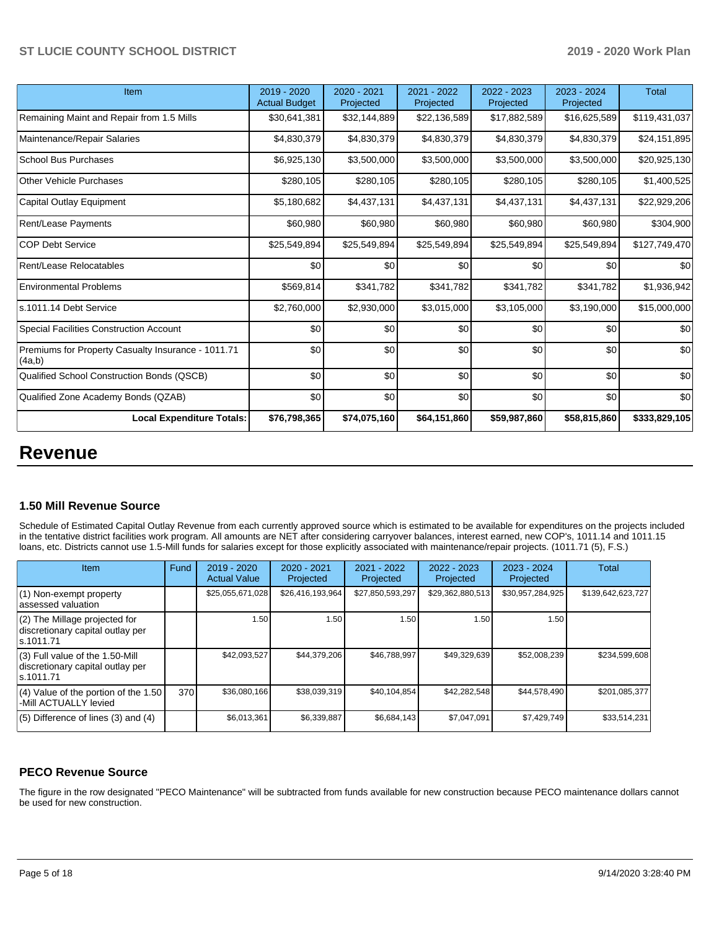| Item                                                         | 2019 - 2020<br><b>Actual Budget</b> | 2020 - 2021<br>Projected | 2021 - 2022<br>Projected | 2022 - 2023<br>Projected | $2023 - 2024$<br>Projected | <b>Total</b>  |
|--------------------------------------------------------------|-------------------------------------|--------------------------|--------------------------|--------------------------|----------------------------|---------------|
| Remaining Maint and Repair from 1.5 Mills                    | \$30,641,381                        | \$32,144,889             | \$22,136,589             | \$17,882,589             | \$16,625,589               | \$119,431,037 |
| Maintenance/Repair Salaries                                  | \$4,830,379                         | \$4,830,379              | \$4,830,379              | \$4,830,379              | \$4,830,379                | \$24,151,895  |
| School Bus Purchases                                         | \$6,925,130                         | \$3,500,000              | \$3,500,000              | \$3,500,000              | \$3,500,000                | \$20,925,130  |
| <b>Other Vehicle Purchases</b>                               | \$280,105                           | \$280,105                | \$280,105                | \$280,105                | \$280,105                  | \$1,400,525   |
| Capital Outlay Equipment                                     | \$5,180,682                         | \$4,437,131              | \$4,437,131              | \$4,437,131              | \$4,437,131                | \$22,929,206  |
| <b>Rent/Lease Payments</b>                                   | \$60,980                            | \$60,980                 | \$60,980                 | \$60,980                 | \$60,980                   | \$304,900     |
| <b>COP Debt Service</b>                                      | \$25,549,894                        | \$25,549,894             | \$25,549,894             | \$25,549,894             | \$25,549,894               | \$127,749,470 |
| Rent/Lease Relocatables                                      | \$0                                 | \$0                      | \$0                      | \$0                      | \$0                        | \$0           |
| <b>Environmental Problems</b>                                | \$569,814                           | \$341,782                | \$341,782                | \$341,782                | \$341,782                  | \$1,936,942   |
| ls.1011.14 Debt Service                                      | \$2,760,000                         | \$2,930,000              | \$3,015,000              | \$3,105,000              | \$3,190,000                | \$15,000,000  |
| Special Facilities Construction Account                      | \$0                                 | \$0                      | \$0                      | \$0                      | \$0                        | \$0           |
| Premiums for Property Casualty Insurance - 1011.71<br>(4a,b) | \$0                                 | \$0                      | \$0                      | \$0                      | \$0                        | \$0           |
| Qualified School Construction Bonds (QSCB)                   | \$0                                 | \$0                      | \$0                      | \$0                      | \$0                        | \$0           |
| Qualified Zone Academy Bonds (QZAB)                          | \$0                                 | \$0                      | \$0                      | \$0                      | \$0                        | \$0           |
| <b>Local Expenditure Totals:</b>                             | \$76,798,365                        | \$74,075,160             | \$64,151,860             | \$59,987,860             | \$58,815,860               | \$333,829,105 |

# **Revenue**

#### **1.50 Mill Revenue Source**

Schedule of Estimated Capital Outlay Revenue from each currently approved source which is estimated to be available for expenditures on the projects included in the tentative district facilities work program. All amounts are NET after considering carryover balances, interest earned, new COP's, 1011.14 and 1011.15 loans, etc. Districts cannot use 1.5-Mill funds for salaries except for those explicitly associated with maintenance/repair projects. (1011.71 (5), F.S.)

| Item                                                                                | Fund | $2019 - 2020$<br><b>Actual Value</b> | $2020 - 2021$<br>Projected | 2021 - 2022<br>Projected | $2022 - 2023$<br>Projected | $2023 - 2024$<br>Projected | Total             |
|-------------------------------------------------------------------------------------|------|--------------------------------------|----------------------------|--------------------------|----------------------------|----------------------------|-------------------|
| (1) Non-exempt property<br>lassessed valuation                                      |      | \$25,055,671,028                     | \$26,416,193,964           | \$27,850,593,297         | \$29,362,880,513           | \$30,957,284,925           | \$139,642,623,727 |
| $(2)$ The Millage projected for<br>discretionary capital outlay per<br>ls.1011.71   |      | 1.50                                 | ا 50. ا                    | 1.50                     | 1.50                       | 1.50                       |                   |
| $(3)$ Full value of the 1.50-Mill<br>discretionary capital outlay per<br>ls.1011.71 |      | \$42,093,527                         | \$44,379,206               | \$46,788,997             | \$49,329,639               | \$52,008,239               | \$234,599,608     |
| $(4)$ Value of the portion of the 1.50<br>-Mill ACTUALLY levied                     | 370  | \$36,080,166                         | \$38,039,319               | \$40,104,854             | \$42,282,548               | \$44,578,490               | \$201,085,377     |
| $(5)$ Difference of lines $(3)$ and $(4)$                                           |      | \$6,013,361                          | \$6,339,887                | \$6,684,143              | \$7,047,091                | \$7,429,749                | \$33,514,231      |

### **PECO Revenue Source**

The figure in the row designated "PECO Maintenance" will be subtracted from funds available for new construction because PECO maintenance dollars cannot be used for new construction.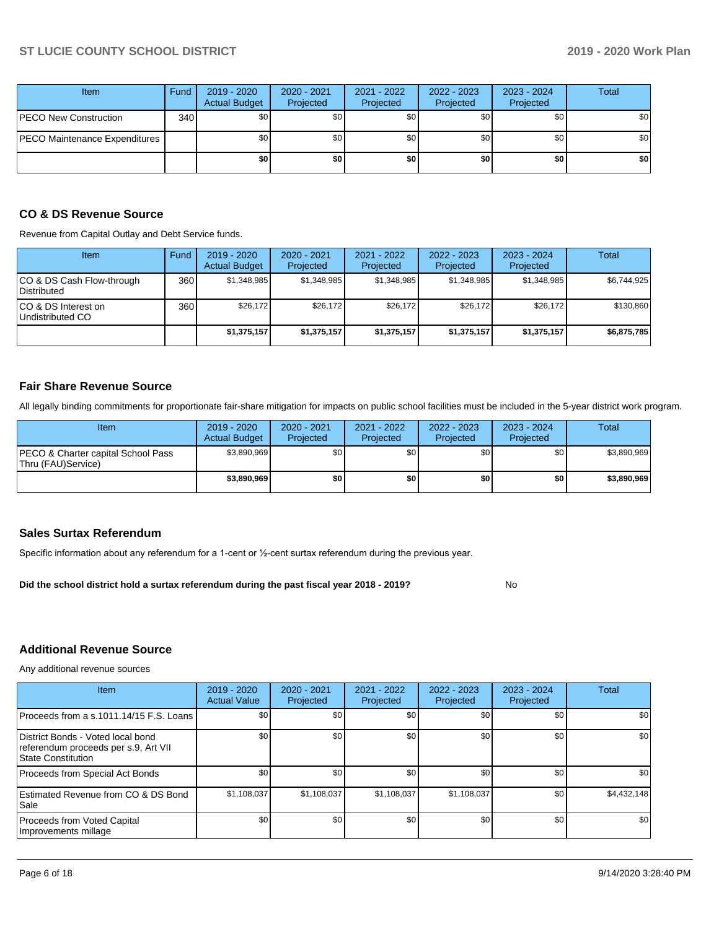| Item                          | Fund         | 2019 - 2020<br><b>Actual Budget</b> | $2020 - 2021$<br>Projected | 2021 - 2022<br>Projected | 2022 - 2023<br>Projected | 2023 - 2024<br>Projected | <b>Total</b> |
|-------------------------------|--------------|-------------------------------------|----------------------------|--------------------------|--------------------------|--------------------------|--------------|
| PECO New Construction         | 340 <b>I</b> | \$0                                 | \$0 <sub>1</sub>           | \$0                      | \$0                      | \$0 <sub>1</sub>         | \$0          |
| PECO Maintenance Expenditures |              | \$0                                 | \$0 <sub>1</sub>           | \$0 <sub>1</sub>         | \$0                      | \$0 <sub>1</sub>         | \$0          |
|                               |              | \$0                                 | \$0                        | \$0                      | \$0                      | \$0                      | \$0          |

### **CO & DS Revenue Source**

Revenue from Capital Outlay and Debt Service funds.

| <b>Item</b>                               | Fund | $2019 - 2020$<br><b>Actual Budget</b> | $2020 - 2021$<br>Projected | 2021 - 2022<br>Projected | $2022 - 2023$<br>Projected | $2023 - 2024$<br>Projected | Total       |
|-------------------------------------------|------|---------------------------------------|----------------------------|--------------------------|----------------------------|----------------------------|-------------|
| ICO & DS Cash Flow-through<br>Distributed | 360  | \$1.348.985                           | \$1.348.985                | \$1.348.985              | \$1.348.985                | \$1.348.985                | \$6,744,925 |
| ICO & DS Interest on<br>Undistributed CO  | 360  | \$26.172                              | \$26.172                   | \$26.172                 | \$26.172                   | \$26.172                   | \$130,860   |
|                                           |      | \$1,375,157                           | \$1,375,157                | \$1,375,157              | \$1,375,157                | \$1,375,157                | \$6,875,785 |

### **Fair Share Revenue Source**

All legally binding commitments for proportionate fair-share mitigation for impacts on public school facilities must be included in the 5-year district work program.

| Item                                                     | 2019 - 2020<br><b>Actual Budget</b> | 2020 - 2021<br>Projected | 2021 - 2022<br>Projected | $2022 - 2023$<br>Projected | 2023 - 2024<br>Projected | Total       |
|----------------------------------------------------------|-------------------------------------|--------------------------|--------------------------|----------------------------|--------------------------|-------------|
| PECO & Charter capital School Pass<br>Thru (FAU)Service) | \$3,890,969                         | \$0                      | \$0                      | \$0                        | \$0                      | \$3,890,969 |
|                                                          | \$3.890.969                         | \$0                      | \$0                      | \$0                        | \$0                      | \$3,890,969 |

#### **Sales Surtax Referendum**

Specific information about any referendum for a 1-cent or ½-cent surtax referendum during the previous year.

**Did the school district hold a surtax referendum during the past fiscal year 2018 - 2019?**

# **Additional Revenue Source**

Any additional revenue sources

| <b>Item</b>                                                                                     | $2019 - 2020$<br><b>Actual Value</b> | 2020 - 2021<br>Projected | $2021 - 2022$<br>Projected | 2022 - 2023<br>Projected | $2023 - 2024$<br>Projected | Total       |
|-------------------------------------------------------------------------------------------------|--------------------------------------|--------------------------|----------------------------|--------------------------|----------------------------|-------------|
| Proceeds from a s.1011.14/15 F.S. Loans                                                         | \$0 <sub>1</sub>                     | \$0 <sub>1</sub>         | \$0                        | \$0                      | \$0                        | \$0         |
| District Bonds - Voted local bond<br>referendum proceeds per s.9, Art VII<br>State Constitution | \$0                                  | \$0 <sub>1</sub>         | \$0                        | \$0                      | \$0                        | \$0         |
| Proceeds from Special Act Bonds                                                                 | \$0 <sub>1</sub>                     | \$0 <sub>1</sub>         | \$0                        | \$0                      | \$0                        | \$0         |
| Estimated Revenue from CO & DS Bond<br> Sale                                                    | \$1,108,037                          | \$1,108,037              | \$1,108,037                | \$1,108,037              | \$0                        | \$4,432,148 |
| Proceeds from Voted Capital<br>Improvements millage                                             | \$0                                  | \$0 <sub>1</sub>         | \$0                        | \$0                      | \$0                        | \$0         |

No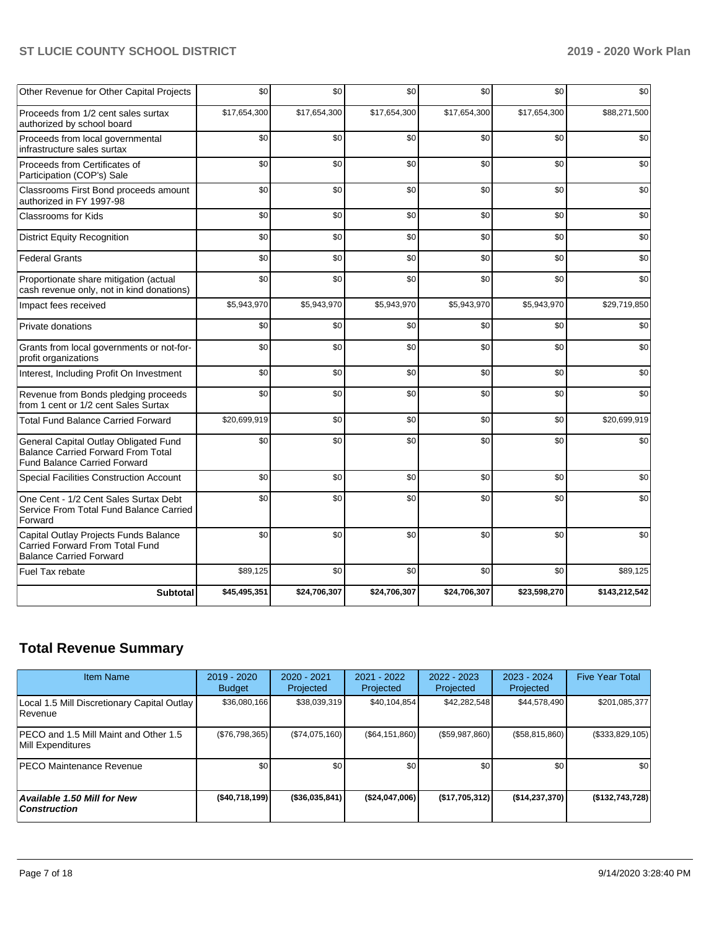| Other Revenue for Other Capital Projects                                                                                  | \$0          | \$0          | \$0          | \$0          | \$0          | \$0           |
|---------------------------------------------------------------------------------------------------------------------------|--------------|--------------|--------------|--------------|--------------|---------------|
| Proceeds from 1/2 cent sales surtax<br>authorized by school board                                                         | \$17,654,300 | \$17,654,300 | \$17,654,300 | \$17,654,300 | \$17,654,300 | \$88,271,500  |
| Proceeds from local governmental<br>infrastructure sales surtax                                                           | \$0          | \$0          | \$0          | \$0          | \$0          | \$0           |
| Proceeds from Certificates of<br>Participation (COP's) Sale                                                               | \$0          | \$0          | \$0          | \$0          | \$0          | \$0           |
| Classrooms First Bond proceeds amount<br>authorized in FY 1997-98                                                         | \$0          | \$0          | \$0          | \$0          | \$0          | \$0           |
| Classrooms for Kids                                                                                                       | \$0          | \$0          | \$0          | \$0          | \$0          | \$0           |
| <b>District Equity Recognition</b>                                                                                        | \$0          | \$0          | \$0          | \$0          | \$0          | \$0           |
| <b>Federal Grants</b>                                                                                                     | \$0          | \$0          | \$0          | \$0          | \$0          | \$0           |
| Proportionate share mitigation (actual<br>cash revenue only, not in kind donations)                                       | \$0          | \$0          | \$0          | \$0          | \$0          | \$0           |
| Impact fees received                                                                                                      | \$5,943,970  | \$5,943,970  | \$5,943,970  | \$5,943,970  | \$5,943,970  | \$29,719,850  |
| Private donations                                                                                                         | \$0          | \$0          | \$0          | \$0          | \$0          | \$0           |
| Grants from local governments or not-for-<br>profit organizations                                                         | \$0          | \$0          | \$0          | \$0          | \$0          | \$0           |
| Interest, Including Profit On Investment                                                                                  | \$0          | \$0          | \$0          | \$0          | \$0          | \$0           |
| Revenue from Bonds pledging proceeds<br>from 1 cent or 1/2 cent Sales Surtax                                              | \$0          | \$0          | \$0          | \$0          | \$0          | \$0           |
| <b>Total Fund Balance Carried Forward</b>                                                                                 | \$20,699,919 | \$0          | \$0          | \$0          | \$0          | \$20,699,919  |
| General Capital Outlay Obligated Fund<br><b>Balance Carried Forward From Total</b><br><b>Fund Balance Carried Forward</b> | \$0          | \$0          | \$0          | \$0          | \$0          | \$0           |
| Special Facilities Construction Account                                                                                   | \$0          | \$0          | \$0          | \$0          | \$0          | \$0           |
| One Cent - 1/2 Cent Sales Surtax Debt<br>Service From Total Fund Balance Carried<br>Forward                               | \$0          | \$0          | \$0          | \$0          | \$0          | \$0           |
| Capital Outlay Projects Funds Balance<br>Carried Forward From Total Fund<br><b>Balance Carried Forward</b>                | \$0          | \$0          | \$0          | \$0          | \$0          | \$0           |
| Fuel Tax rebate                                                                                                           | \$89,125     | \$0          | \$0          | \$0          | \$0          | \$89,125      |
| <b>Subtotal</b>                                                                                                           | \$45,495,351 | \$24,706,307 | \$24,706,307 | \$24,706,307 | \$23,598,270 | \$143,212,542 |

# **Total Revenue Summary**

| <b>Item Name</b>                                              | $2019 - 2020$<br><b>Budget</b> | $2020 - 2021$<br>Projected | 2021 - 2022<br>Projected | $2022 - 2023$<br>Projected | $2023 - 2024$<br>Projected | <b>Five Year Total</b> |
|---------------------------------------------------------------|--------------------------------|----------------------------|--------------------------|----------------------------|----------------------------|------------------------|
| Local 1.5 Mill Discretionary Capital Outlay<br><b>Revenue</b> | \$36,080,166                   | \$38,039,319               | \$40,104,854             | \$42,282,548               | \$44,578,490               | \$201,085,377          |
| PECO and 1.5 Mill Maint and Other 1.5<br>Mill Expenditures    | (\$76,798,365)                 | (\$74,075,160)             | (\$64,151,860)           | (\$59,987,860)             | (\$58,815,860)             | $(\$333,829,105)$      |
| <b>PECO Maintenance Revenue</b>                               | \$0                            | \$0 <sub>1</sub>           | \$0                      | \$0                        | \$0                        | \$0                    |
| Available 1.50 Mill for New<br>  Construction                 | ( \$40,718,199]                | $($ \$36,035,841)          | (\$24,047,006)           | (\$17,705,312)             | (\$14,237,370)             | ( \$132, 743, 728)     |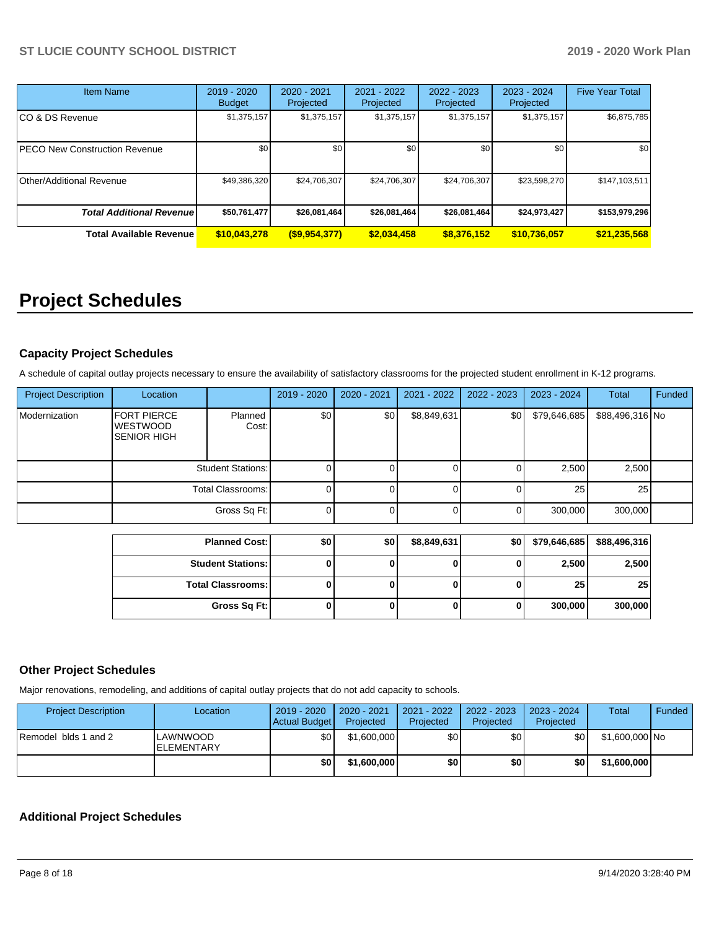| <b>Item Name</b>                     | $2019 - 2020$<br><b>Budget</b> | $2020 - 2021$<br>Projected | 2021 - 2022<br>Projected | $2022 - 2023$<br>Projected | 2023 - 2024<br>Projected | <b>Five Year Total</b> |
|--------------------------------------|--------------------------------|----------------------------|--------------------------|----------------------------|--------------------------|------------------------|
| CO & DS Revenue                      | \$1,375,157                    | \$1,375,157                | \$1,375,157              | \$1,375,157                | \$1,375,157              | \$6,875,785            |
| <b>PECO New Construction Revenue</b> | \$0                            | \$0                        | \$0                      | \$0                        | \$0                      | \$0                    |
| <b>Other/Additional Revenue</b>      | \$49,386,320                   | \$24,706,307               | \$24,706,307             | \$24,706,307               | \$23,598,270             | \$147,103,511          |
| <b>Total Additional Revenuel</b>     | \$50,761,477                   | \$26,081,464               | \$26,081,464             | \$26,081,464               | \$24,973,427             | \$153,979,296          |
| <b>Total Available Revenue</b>       | \$10,043,278                   | $($ \$9,954,377)           | \$2,034,458              | \$8,376,152                | \$10,736,057             | \$21,235,568           |

# **Project Schedules**

## **Capacity Project Schedules**

A schedule of capital outlay projects necessary to ensure the availability of satisfactory classrooms for the projected student enrollment in K-12 programs.

| <b>Project Description</b> | Location                                                    |                          | 2019 - 2020      | 2020 - 2021 | 2021 - 2022 | $2022 - 2023$ | 2023 - 2024  | <b>Total</b>    | Funded |
|----------------------------|-------------------------------------------------------------|--------------------------|------------------|-------------|-------------|---------------|--------------|-----------------|--------|
| Modernization              | <b>FORT PIERCE</b><br><b>WESTWOOD</b><br><b>SENIOR HIGH</b> | Planned<br>Cost:         | \$0 <sub>1</sub> | \$0         | \$8,849,631 | \$0           | \$79,646,685 | \$88,496,316 No |        |
|                            |                                                             | <b>Student Stations:</b> |                  |             |             |               | 2,500        | 2,500           |        |
|                            |                                                             | Total Classrooms:        |                  |             |             |               | 25           | 25              |        |
|                            |                                                             | Gross Sq Ft:             |                  |             |             |               | 300,000      | 300,000         |        |
|                            |                                                             |                          |                  |             |             |               |              |                 |        |
|                            |                                                             | <b>Planned Cost:</b>     | \$0              | \$0         | \$8,849,631 | \$0           | \$79,646,685 | \$88,496,316    |        |
|                            |                                                             | <b>Student Stations:</b> | 0                |             |             |               | 2,500        | 2,500           |        |
|                            |                                                             | <b>Total Classrooms:</b> | 0                |             |             | 0             | 25           | 25              |        |

**Gross Sq Ft: 0 0 0 0 300,000 300,000**

## **Other Project Schedules**

Major renovations, remodeling, and additions of capital outlay projects that do not add capacity to schools.

| <b>Project Description</b> | Location                       | $2019 - 2020$<br>Actual Budget | 2020 - 2021<br>Projected | 2021 - 2022<br>Projected | 2022 - 2023<br>Projected | 2023 - 2024<br>Projected | Total          | Funded |
|----------------------------|--------------------------------|--------------------------------|--------------------------|--------------------------|--------------------------|--------------------------|----------------|--------|
| Remodel blds 1 and 2       | LAWNWOOD<br><b>IELEMENTARY</b> | \$٥Ι                           | \$1,600,000              | \$0                      | \$0                      | \$0                      | \$1.600.000 No |        |
|                            |                                | \$0                            | \$1,600,000              | \$0                      | \$0                      | \$0                      | \$1,600,000    |        |

## **Additional Project Schedules**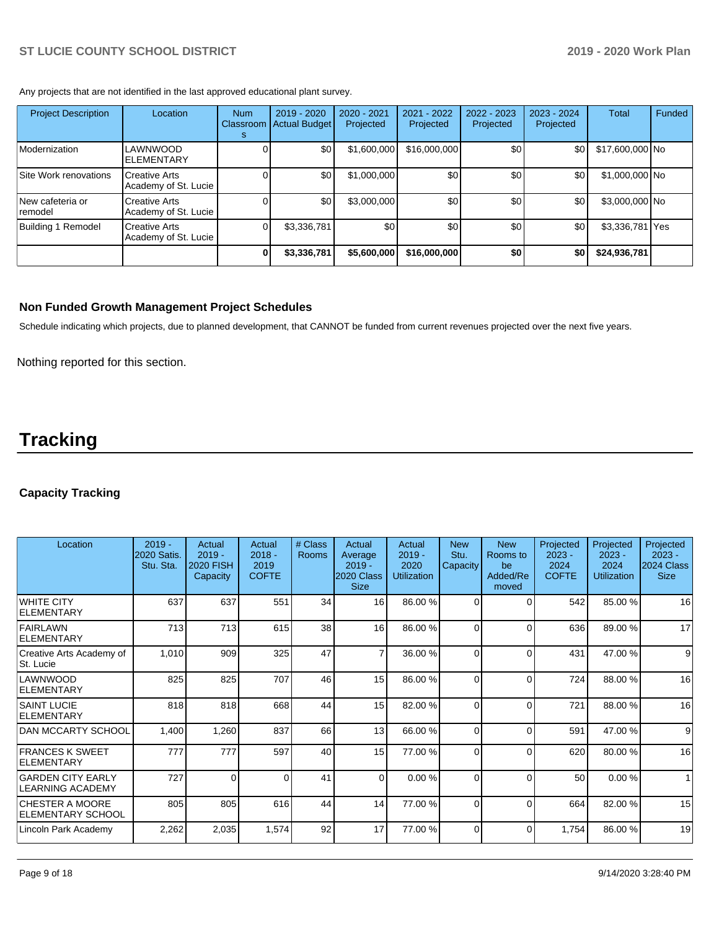Any projects that are not identified in the last approved educational plant survey.

| <b>Project Description</b>   | Location                                     | <b>Num</b><br>Classroom<br>s | 2019 - 2020<br><b>Actual Budget</b> | 2020 - 2021<br>Projected | 2021 - 2022<br>Projected | 2022 - 2023<br>Projected | 2023 - 2024<br>Projected | <b>Total</b>    | Funded |
|------------------------------|----------------------------------------------|------------------------------|-------------------------------------|--------------------------|--------------------------|--------------------------|--------------------------|-----------------|--------|
| Modernization                | LAWNWOOD<br><b>ELEMENTARY</b>                |                              | \$0                                 | \$1,600,000              | \$16,000,000             | \$0                      | \$0                      | \$17,600,000 No |        |
| Site Work renovations        | <b>Creative Arts</b><br>Academy of St. Lucie |                              | \$0                                 | \$1,000,000              | \$0                      | \$0                      | \$0                      | \$1,000,000 No  |        |
| New cafeteria or<br>⊺remodel | <b>Creative Arts</b><br>Academy of St. Lucie |                              | \$0                                 | \$3,000,000              | \$0                      | \$0                      | \$0                      | \$3,000,000 No  |        |
| Building 1<br>Remodel        | <b>Creative Arts</b><br>Academy of St. Lucie |                              | \$3,336,781                         | \$0                      | \$0                      | \$0                      | \$0                      | \$3,336,781 Yes |        |
|                              |                                              | 0                            | \$3,336,781                         | \$5,600,000              | \$16,000,000             | \$0                      | \$0                      | \$24,936,781    |        |

### **Non Funded Growth Management Project Schedules**

Schedule indicating which projects, due to planned development, that CANNOT be funded from current revenues projected over the next five years.

Nothing reported for this section.

# **Tracking**

## **Capacity Tracking**

| Location                                            | $2019 -$<br>2020 Satis<br>Stu. Sta. | Actual<br>$2019 -$<br><b>2020 FISH</b><br>Capacity | Actual<br>$2018 -$<br>2019<br><b>COFTE</b> | # Class<br>Rooms | Actual<br>Average<br>$2019 -$<br>2020 Class<br><b>Size</b> | Actual<br>$2019 -$<br>2020<br><b>Utilization</b> | <b>New</b><br>Stu.<br>Capacity | <b>New</b><br>Rooms to<br>be<br>Added/Re<br>moved | Projected<br>$2023 -$<br>2024<br><b>COFTE</b> | Projected<br>$2023 -$<br>2024<br><b>Utilization</b> | Projected<br>$2023 -$<br>2024 Class<br><b>Size</b> |
|-----------------------------------------------------|-------------------------------------|----------------------------------------------------|--------------------------------------------|------------------|------------------------------------------------------------|--------------------------------------------------|--------------------------------|---------------------------------------------------|-----------------------------------------------|-----------------------------------------------------|----------------------------------------------------|
| <b>WHITE CITY</b><br><b>ELEMENTARY</b>              | 637                                 | 637                                                | 551                                        | 34               | 16 <sup>1</sup>                                            | 86.00 %                                          | $\Omega$                       | 0                                                 | 542                                           | 85.00 %                                             | 16                                                 |
| <b>FAIRLAWN</b><br><b>ELEMENTARY</b>                | 713                                 | 713                                                | 615                                        | 38               | 16                                                         | 86.00 %                                          | $\Omega$                       | $\Omega$                                          | 636                                           | 89.00 %                                             | 17                                                 |
| Creative Arts Academy of<br>St. Lucie               | 1,010                               | 909                                                | 325                                        | 47               | 7                                                          | 36.00 %                                          | $\Omega$                       | 0                                                 | 431                                           | 47.00 %                                             | 9                                                  |
| LAWNWOOD<br><b>ELEMENTARY</b>                       | 825                                 | 825                                                | 707                                        | 46               | 15                                                         | 86.00 %                                          | $\Omega$                       | $\Omega$                                          | 724                                           | 88.00 %                                             | 16                                                 |
| <b>SAINT LUCIE</b><br><b>ELEMENTARY</b>             | 818                                 | 818                                                | 668                                        | 44               | 15                                                         | 82.00 %                                          | $\Omega$                       | 0                                                 | 721                                           | 88.00 %                                             | 16                                                 |
| DAN MCCARTY SCHOOL                                  | 1,400                               | 1,260                                              | 837                                        | 66               | 13                                                         | 66.00 %                                          | $\Omega$                       | $\Omega$                                          | 591                                           | 47.00 %                                             | 9                                                  |
| <b>FRANCES K SWEET</b><br><b>ELEMENTARY</b>         | 777                                 | 777                                                | 597                                        | 40               | 15                                                         | 77.00 %                                          | $\Omega$                       | 0                                                 | 620                                           | 80.00%                                              | 16                                                 |
| <b>GARDEN CITY EARLY</b><br><b>LEARNING ACADEMY</b> | 727                                 | $\Omega$                                           | $\Omega$                                   | 41               | $\Omega$                                                   | 0.00%                                            | $\Omega$                       | $\Omega$                                          | 50                                            | 0.00%                                               | 1                                                  |
| <b>CHESTER A MOORE</b><br><b>ELEMENTARY SCHOOL</b>  | 805                                 | 805                                                | 616                                        | 44               | 14                                                         | 77.00 %                                          | $\Omega$                       | 0                                                 | 664                                           | 82.00 %                                             | 15                                                 |
| Lincoln Park Academy                                | 2,262                               | 2,035                                              | 1,574                                      | 92               | 17                                                         | 77.00 %                                          | $\Omega$                       | $\Omega$                                          | 1,754                                         | 86.00 %                                             | 19                                                 |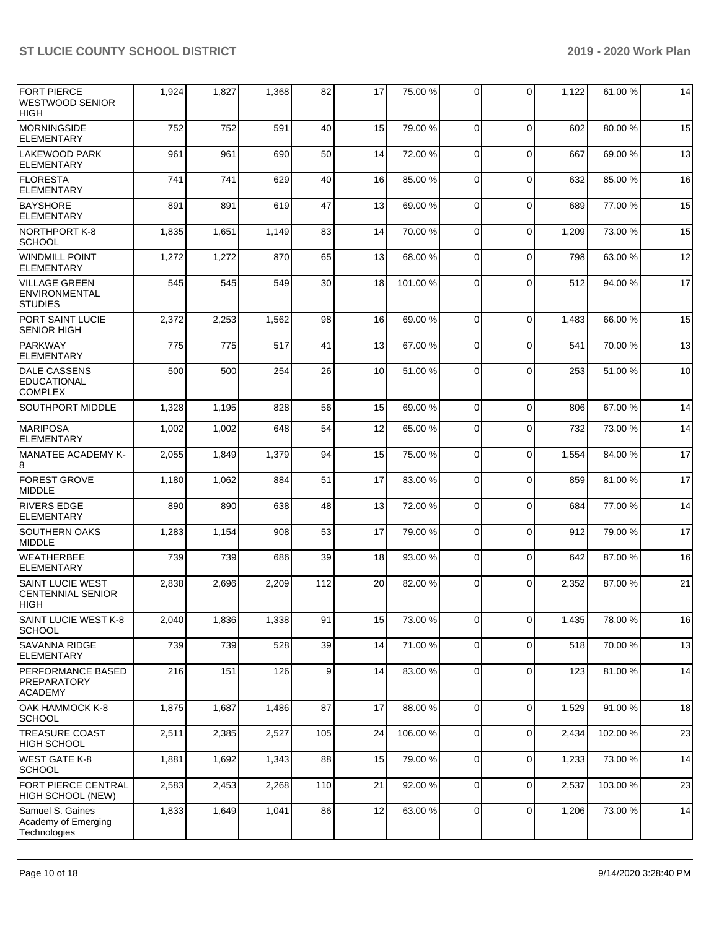| <b>FORT PIERCE</b><br><b>WESTWOOD SENIOR</b><br><b>HIGH</b>    | 1,924 | 1,827 | 1,368 | 82  | 17 | 75.00 %  | $\Omega$       | 0           | 1,122 | 61.00 %  | 14 |
|----------------------------------------------------------------|-------|-------|-------|-----|----|----------|----------------|-------------|-------|----------|----|
| <b>MORNINGSIDE</b><br><b>ELEMENTARY</b>                        | 752   | 752   | 591   | 40  | 15 | 79.00 %  | $\Omega$       | $\Omega$    | 602   | 80.00 %  | 15 |
| <b>LAKEWOOD PARK</b><br><b>ELEMENTARY</b>                      | 961   | 961   | 690   | 50  | 14 | 72.00 %  | $\Omega$       | $\Omega$    | 667   | 69.00 %  | 13 |
| <b>FLORESTA</b><br><b>ELEMENTARY</b>                           | 741   | 741   | 629   | 40  | 16 | 85.00 %  | $\mathbf 0$    | 0           | 632   | 85.00 %  | 16 |
| <b>BAYSHORE</b><br><b>ELEMENTARY</b>                           | 891   | 891   | 619   | 47  | 13 | 69.00 %  | $\Omega$       | $\mathbf 0$ | 689   | 77.00 %  | 15 |
| INORTHPORT K-8<br><b>SCHOOL</b>                                | 1,835 | 1,651 | 1,149 | 83  | 14 | 70.00 %  | $\Omega$       | $\mathbf 0$ | 1,209 | 73.00 %  | 15 |
| <b>WINDMILL POINT</b><br><b>ELEMENTARY</b>                     | 1,272 | 1,272 | 870   | 65  | 13 | 68.00 %  | $\mathbf 0$    | 0           | 798   | 63.00 %  | 12 |
| <b>VILLAGE GREEN</b><br><b>ENVIRONMENTAL</b><br><b>STUDIES</b> | 545   | 545   | 549   | 30  | 18 | 101.00 % | $\Omega$       | $\Omega$    | 512   | 94.00 %  | 17 |
| PORT SAINT LUCIE<br><b>SENIOR HIGH</b>                         | 2,372 | 2,253 | 1,562 | 98  | 16 | 69.00 %  | $\Omega$       | $\Omega$    | 1,483 | 66.00 %  | 15 |
| PARKWAY<br><b>ELEMENTARY</b>                                   | 775   | 775   | 517   | 41  | 13 | 67.00 %  | $\Omega$       | $\mathbf 0$ | 541   | 70.00%   | 13 |
| <b>DALE CASSENS</b><br>EDUCATIONAL<br><b>COMPLEX</b>           | 500   | 500   | 254   | 26  | 10 | 51.00 %  | $\Omega$       | $\Omega$    | 253   | 51.00 %  | 10 |
| SOUTHPORT MIDDLE                                               | 1,328 | 1,195 | 828   | 56  | 15 | 69.00 %  | $\Omega$       | $\Omega$    | 806   | 67.00 %  | 14 |
| <b>MARIPOSA</b><br><b>ELEMENTARY</b>                           | 1,002 | 1,002 | 648   | 54  | 12 | 65.00 %  | $\Omega$       | 0           | 732   | 73.00 %  | 14 |
| MANATEE ACADEMY K-<br>8                                        | 2,055 | 1,849 | 1,379 | 94  | 15 | 75.00 %  | $\mathbf 0$    | 0           | 1,554 | 84.00 %  | 17 |
| <b>FOREST GROVE</b><br>MIDDLE                                  | 1,180 | 1,062 | 884   | 51  | 17 | 83.00 %  | $\Omega$       | $\Omega$    | 859   | 81.00 %  | 17 |
| <b>RIVERS EDGE</b><br><b>ELEMENTARY</b>                        | 890   | 890   | 638   | 48  | 13 | 72.00 %  | $\Omega$       | $\Omega$    | 684   | 77.00 %  | 14 |
| <b>SOUTHERN OAKS</b><br><b>MIDDLE</b>                          | 1,283 | 1,154 | 908   | 53  | 17 | 79.00 %  | $\mathbf 0$    | 0           | 912   | 79.00 %  | 17 |
| <b>WEATHERBEE</b><br><b>ELEMENTARY</b>                         | 739   | 739   | 686   | 39  | 18 | 93.00 %  | $\Omega$       | $\mathbf 0$ | 642   | 87.00 %  | 16 |
| <b>SAINT LUCIE WEST</b><br><b>CENTENNIAL SENIOR</b><br> HIGH   | 2,838 | 2,696 | 2,209 | 112 | 20 | 82.00 %  | 0              | $\Omega$    | 2.352 | 87.00 %  | 21 |
| SAINT LUCIE WEST K-8<br><b>SCHOOL</b>                          | 2,040 | 1,836 | 1,338 | 91  | 15 | 73.00 %  | $\overline{0}$ | 0           | 1,435 | 78.00 %  | 16 |
| SAVANNA RIDGE<br>ELEMENTARY                                    | 739   | 739   | 528   | 39  | 14 | 71.00 %  | $\overline{0}$ | $\mathbf 0$ | 518   | 70.00 %  | 13 |
| <b>PERFORMANCE BASED</b><br>PREPARATORY<br><b>ACADEMY</b>      | 216   | 151   | 126   | 9   | 14 | 83.00 %  | 0              | 0           | 123   | 81.00%   | 14 |
| OAK HAMMOCK K-8<br><b>SCHOOL</b>                               | 1,875 | 1,687 | 1,486 | 87  | 17 | 88.00%   | $\mathbf 0$    | $\mathbf 0$ | 1,529 | 91.00%   | 18 |
| <b>TREASURE COAST</b><br>HIGH SCHOOL                           | 2,511 | 2,385 | 2,527 | 105 | 24 | 106.00%  | $\Omega$       | $\mathbf 0$ | 2,434 | 102.00%  | 23 |
| <b>WEST GATE K-8</b><br><b>SCHOOL</b>                          | 1,881 | 1,692 | 1,343 | 88  | 15 | 79.00 %  | $\overline{0}$ | $\mathbf 0$ | 1,233 | 73.00 %  | 14 |
| FORT PIERCE CENTRAL<br>HIGH SCHOOL (NEW)                       | 2,583 | 2,453 | 2,268 | 110 | 21 | 92.00 %  | $\mathbf 0$    | 0           | 2,537 | 103.00 % | 23 |
| Samuel S. Gaines<br>Academy of Emerging<br>Technologies        | 1,833 | 1,649 | 1,041 | 86  | 12 | 63.00%   | $\overline{0}$ | 0           | 1,206 | 73.00 %  | 14 |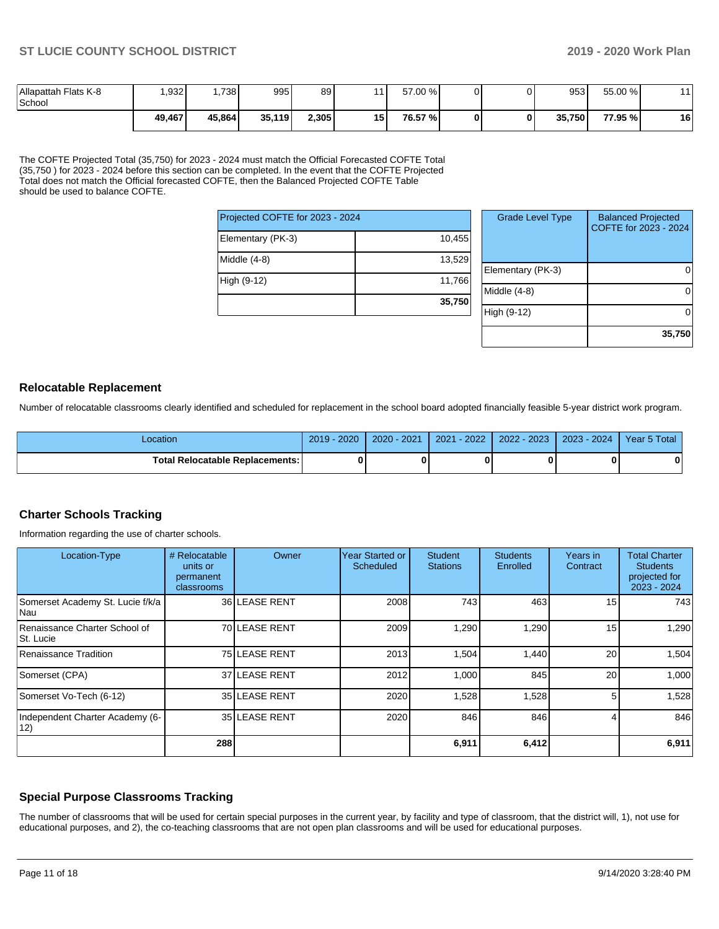| Allapattah Flats K-8<br>l School | .932   | .738   | 995    | 89    |      | 57.00 % |  | 953    | 55.00 % |    |
|----------------------------------|--------|--------|--------|-------|------|---------|--|--------|---------|----|
|                                  | 49,467 | 45,864 | 35,119 | 2,305 | 15 I | 76.57 % |  | 35,750 | 77.95 % | 16 |

The COFTE Projected Total (35,750) for 2023 - 2024 must match the Official Forecasted COFTE Total (35,750 ) for 2023 - 2024 before this section can be completed. In the event that the COFTE Projected Total does not match the Official forecasted COFTE, then the Balanced Projected COFTE Table should be used to balance COFTE.

| Projected COFTE for 2023 - 2024 |        |
|---------------------------------|--------|
| Elementary (PK-3)               | 10,455 |
| Middle $(4-8)$                  | 13,529 |
| High (9-12)                     | 11,766 |
|                                 | 35,750 |

| <b>Grade Level Type</b> | <b>Balanced Projected</b><br>COFTE for 2023 - 2024 |
|-------------------------|----------------------------------------------------|
| Elementary (PK-3)       |                                                    |
| Middle (4-8)            |                                                    |
| High (9-12)             |                                                    |
|                         | 35,750                                             |

#### **Relocatable Replacement**

Number of relocatable classrooms clearly identified and scheduled for replacement in the school board adopted financially feasible 5-year district work program.

| Location                               | 2020<br>$2019 -$ | 2020 - 2021 | $-2022$<br>2021 | 2022 - 2023 | 2023 - 2024 | Year 5 Total |
|----------------------------------------|------------------|-------------|-----------------|-------------|-------------|--------------|
| <b>Total Relocatable Replacements:</b> |                  |             |                 |             |             | n            |

## **Charter Schools Tracking**

Information regarding the use of charter schools.

| Location-Type                              | # Relocatable<br>units or<br>permanent<br>classrooms | Owner         | Year Started or<br>Scheduled | <b>Student</b><br><b>Stations</b> | <b>Students</b><br>Enrolled | Years in<br>Contract | <b>Total Charter</b><br><b>Students</b><br>projected for<br>2023 - 2024 |
|--------------------------------------------|------------------------------------------------------|---------------|------------------------------|-----------------------------------|-----------------------------|----------------------|-------------------------------------------------------------------------|
| Somerset Academy St. Lucie f/k/a<br>Nau    |                                                      | 36 LEASE RENT | 2008                         | 743                               | 463                         | 15                   | 743                                                                     |
| Renaissance Charter School of<br>St. Lucie |                                                      | 70 LEASE RENT | 2009                         | 1,290                             | 1,290                       | 15                   | 1,290                                                                   |
| Renaissance Tradition                      |                                                      | 75 LEASE RENT | 2013                         | 1,504                             | 1,440                       | 20                   | 1,504                                                                   |
| Somerset (CPA)                             |                                                      | 37 LEASE RENT | 2012                         | 1,000                             | 845                         | 20                   | 1,000                                                                   |
| Somerset Vo-Tech (6-12)                    |                                                      | 35 LEASE RENT | 2020                         | 1,528                             | 1,528                       |                      | 1,528                                                                   |
| Independent Charter Academy (6-<br>12)     |                                                      | 35 LEASE RENT | 2020                         | 846                               | 846                         |                      | 846                                                                     |
|                                            | 288                                                  |               |                              | 6,911                             | 6,412                       |                      | 6,911                                                                   |

## **Special Purpose Classrooms Tracking**

The number of classrooms that will be used for certain special purposes in the current year, by facility and type of classroom, that the district will, 1), not use for educational purposes, and 2), the co-teaching classrooms that are not open plan classrooms and will be used for educational purposes.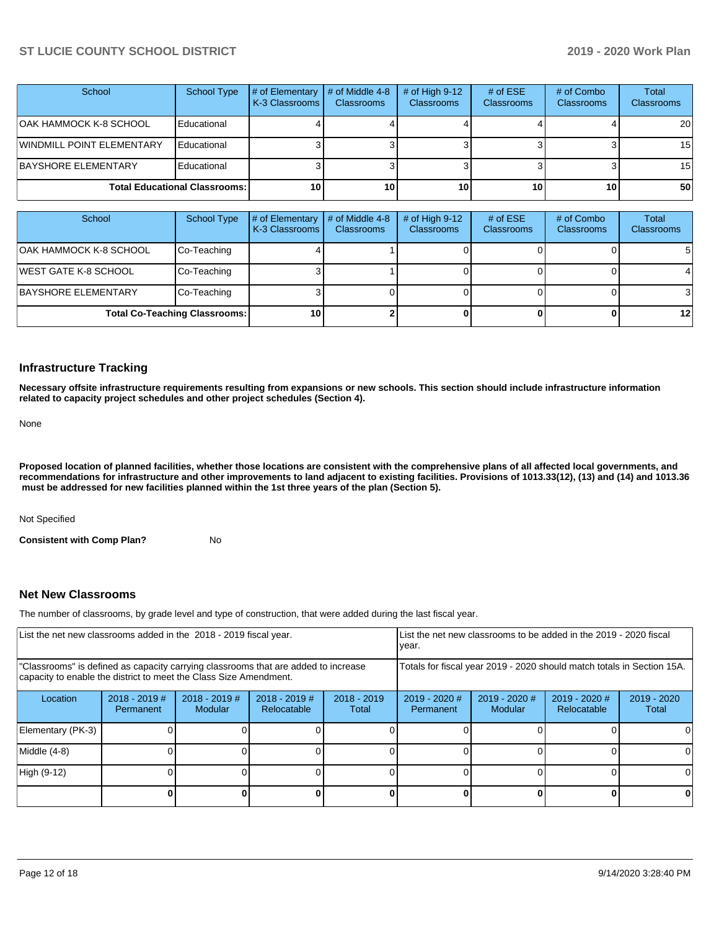| School                               | School Type | # of Elementary<br><b>K-3 Classrooms I</b> | # of Middle 4-8<br><b>Classrooms</b> | # of High $9-12$<br><b>Classrooms</b> | # of $ESE$<br>Classrooms | # of Combo<br><b>Classrooms</b> | Total<br><b>Classrooms</b> |
|--------------------------------------|-------------|--------------------------------------------|--------------------------------------|---------------------------------------|--------------------------|---------------------------------|----------------------------|
| OAK HAMMOCK K-8 SCHOOL               | Educational |                                            |                                      |                                       |                          |                                 | <b>20</b>                  |
| <b>WINDMILL POINT ELEMENTARY</b>     | Educational |                                            |                                      |                                       |                          |                                 | 15 <sup>1</sup>            |
| <b>BAYSHORE ELEMENTARY</b>           | Educational |                                            |                                      |                                       |                          |                                 | 15 <sup>1</sup>            |
| <b>Total Educational Classrooms:</b> |             | 10                                         | 10                                   | 10 <sup>1</sup>                       | 10                       | 10 <sup>1</sup>                 | 50 <sub>1</sub>            |

| School                               | <b>School Type</b> | # of Elementary<br>K-3 Classrooms | # of Middle 4-8<br><b>Classrooms</b> | # of High $9-12$<br><b>Classrooms</b> | # of $ESE$<br><b>Classrooms</b> | # of Combo<br><b>Classrooms</b> | Total<br><b>Classrooms</b> |
|--------------------------------------|--------------------|-----------------------------------|--------------------------------------|---------------------------------------|---------------------------------|---------------------------------|----------------------------|
| <b>OAK HAMMOCK K-8 SCHOOL</b>        | Co-Teaching        |                                   |                                      |                                       |                                 |                                 | 51                         |
| <b>IWEST GATE K-8 SCHOOL</b>         | Co-Teaching        |                                   |                                      |                                       |                                 |                                 |                            |
| BAYSHORE ELEMENTARY                  | Co-Teaching        |                                   |                                      |                                       |                                 |                                 | $\mathbf{3}$               |
| <b>Total Co-Teaching Classrooms:</b> |                    | 10                                |                                      |                                       |                                 |                                 | 12 <sub>l</sub>            |

#### **Infrastructure Tracking**

**Necessary offsite infrastructure requirements resulting from expansions or new schools. This section should include infrastructure information related to capacity project schedules and other project schedules (Section 4).** 

None

**Proposed location of planned facilities, whether those locations are consistent with the comprehensive plans of all affected local governments, and recommendations for infrastructure and other improvements to land adjacent to existing facilities. Provisions of 1013.33(12), (13) and (14) and 1013.36** must be addressed for new facilities planned within the 1st three years of the plan (Section 5).

Not Specified

**Consistent with Comp Plan?** No

#### **Net New Classrooms**

The number of classrooms, by grade level and type of construction, that were added during the last fiscal year.

| List the net new classrooms added in the 2018 - 2019 fiscal year.                                                                                       |                                     |                                   |                                |                        | year.                                                                  |                          | List the net new classrooms to be added in the 2019 - 2020 fiscal |                      |
|---------------------------------------------------------------------------------------------------------------------------------------------------------|-------------------------------------|-----------------------------------|--------------------------------|------------------------|------------------------------------------------------------------------|--------------------------|-------------------------------------------------------------------|----------------------|
| "Classrooms" is defined as capacity carrying classrooms that are added to increase<br>capacity to enable the district to meet the Class Size Amendment. |                                     |                                   |                                |                        | Totals for fiscal year 2019 - 2020 should match totals in Section 15A. |                          |                                                                   |                      |
| Location                                                                                                                                                | $2018 - 2019$ #<br><b>Permanent</b> | $2018 - 2019$ #<br><b>Modular</b> | $2018 - 2019$ #<br>Relocatable | $2018 - 2019$<br>Total | $2019 - 2020$ #<br>Permanent                                           | 2019 - 2020 #<br>Modular | $2019 - 2020$ #<br>Relocatable                                    | 2019 - 2020<br>Total |
| Elementary (PK-3)                                                                                                                                       |                                     |                                   |                                |                        |                                                                        |                          |                                                                   |                      |
| Middle (4-8)                                                                                                                                            |                                     |                                   |                                |                        |                                                                        |                          |                                                                   | ΩI                   |
| High (9-12)                                                                                                                                             |                                     |                                   |                                |                        |                                                                        |                          |                                                                   | ΩI                   |
|                                                                                                                                                         |                                     |                                   |                                |                        |                                                                        |                          | n                                                                 | 0                    |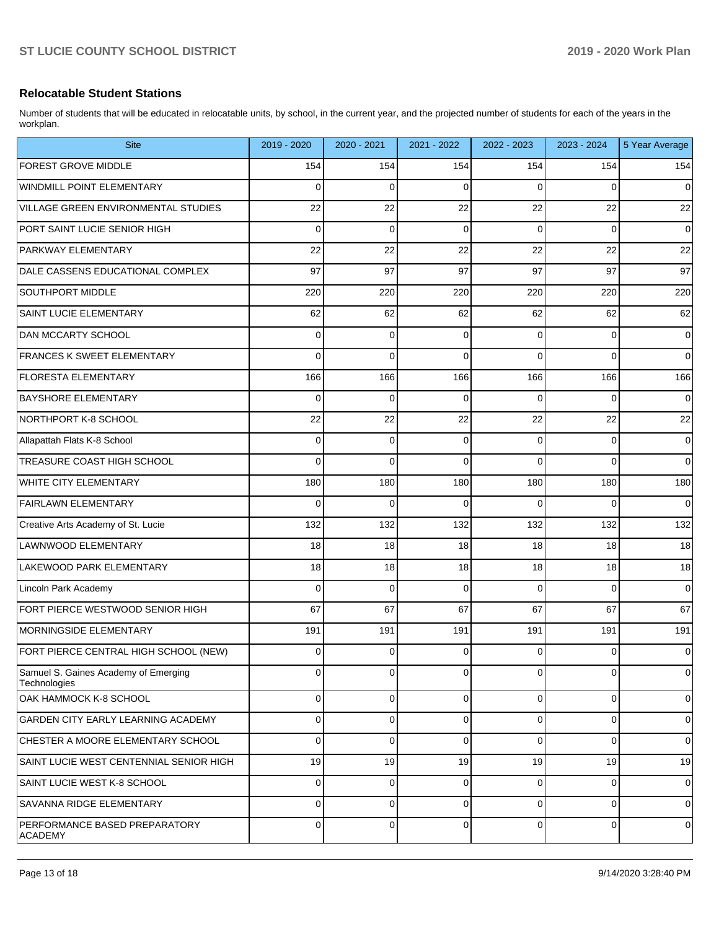### **Relocatable Student Stations**

Number of students that will be educated in relocatable units, by school, in the current year, and the projected number of students for each of the years in the workplan.

| <b>Site</b>                                          | 2019 - 2020 | 2020 - 2021 | 2021 - 2022 | 2022 - 2023 | 2023 - 2024 | 5 Year Average |
|------------------------------------------------------|-------------|-------------|-------------|-------------|-------------|----------------|
| <b>FOREST GROVE MIDDLE</b>                           | 154         | 154         | 154         | 154         | 154         | 154            |
| <b>WINDMILL POINT ELEMENTARY</b>                     | 0           | 0           | $\Omega$    | $\Omega$    | 0           | 0              |
| VILLAGE GREEN ENVIRONMENTAL STUDIES                  | 22          | 22          | 22          | 22          | 22          | 22             |
| PORT SAINT LUCIE SENIOR HIGH                         | 0           | 0           | $\Omega$    | $\Omega$    | 0           | $\mathbf 0$    |
| <b>PARKWAY ELEMENTARY</b>                            | 22          | 22          | 22          | 22          | 22          | 22             |
| DALE CASSENS EDUCATIONAL COMPLEX                     | 97          | 97          | 97          | 97          | 97          | 97             |
| SOUTHPORT MIDDLE                                     | 220         | 220         | 220         | 220         | 220         | 220            |
| SAINT LUCIE ELEMENTARY                               | 62          | 62          | 62          | 62          | 62          | 62             |
| <b>DAN MCCARTY SCHOOL</b>                            | 0           | 0           | $\Omega$    | 0           | 0           | $\mathbf 0$    |
| <b>FRANCES K SWEET ELEMENTARY</b>                    | 0           | 0           | $\Omega$    | $\Omega$    | 0           | $\mathbf 0$    |
| <b>FLORESTA ELEMENTARY</b>                           | 166         | 166         | 166         | 166         | 166         | 166            |
| <b>BAYSHORE ELEMENTARY</b>                           | 0           | 0           | 0           | 0           | 0           | $\mathbf 0$    |
| NORTHPORT K-8 SCHOOL                                 | 22          | 22          | 22          | 22          | 22          | 22             |
| Allapattah Flats K-8 School                          | 0           | 0           | $\Omega$    | 0           | 0           | $\mathbf 0$    |
| <b>TREASURE COAST HIGH SCHOOL</b>                    | 0           | 0           | $\Omega$    | $\Omega$    | 0           | $\mathbf 0$    |
| <b>WHITE CITY ELEMENTARY</b>                         | 180         | 180         | 180         | 180         | 180         | 180            |
| <b>FAIRLAWN ELEMENTARY</b>                           | 0           | 0           | $\Omega$    | $\Omega$    | 0           | $\mathbf 0$    |
| Creative Arts Academy of St. Lucie                   | 132         | 132         | 132         | 132         | 132         | 132            |
| LAWNWOOD ELEMENTARY                                  | 18          | 18          | 18          | 18          | 18          | 18             |
| LAKEWOOD PARK ELEMENTARY                             | 18          | 18          | 18          | 18          | 18          | 18             |
| Lincoln Park Academy                                 | 0           | 0           | $\Omega$    | $\Omega$    | 0           | $\mathbf 0$    |
| FORT PIERCE WESTWOOD SENIOR HIGH                     | 67          | 67          | 67          | 67          | 67          | 67             |
| MORNINGSIDE ELEMENTARY                               | 191         | 191         | 191         | 191         | 191         | 191            |
| FORT PIERCE CENTRAL HIGH SCHOOL (NEW)                | 0           | 0           | 0           | 0           | 0           | $\mathbf 0$    |
| Samuel S. Gaines Academy of Emerging<br>Technologies | 0           | 0           | $\Omega$    | 0           | 0           | $\mathbf 0$    |
| OAK HAMMOCK K-8 SCHOOL                               | 0           | 0           | 0           | $\mathbf 0$ | $\mathbf 0$ | $\mathbf 0$    |
| GARDEN CITY EARLY LEARNING ACADEMY                   | $\Omega$    | 0           | $\Omega$    | 0           | 0           | $\mathbf 0$    |
| CHESTER A MOORE ELEMENTARY SCHOOL                    | $\Omega$    | 0           | $\Omega$    | $\Omega$    | $\Omega$    | $\mathbf 0$    |
| SAINT LUCIE WEST CENTENNIAL SENIOR HIGH              | 19          | 19          | 19          | 19          | 19          | 19             |
| SAINT LUCIE WEST K-8 SCHOOL                          | $\Omega$    | 0           | $\Omega$    | $\mathbf 0$ | 0           | $\mathbf 0$    |
| <b>SAVANNA RIDGE ELEMENTARY</b>                      | $\mathbf 0$ | 0           | 0           | $\Omega$    | 0           | $\mathbf 0$    |
| PERFORMANCE BASED PREPARATORY<br><b>ACADEMY</b>      | $\Omega$    | $\Omega$    | $\Omega$    | $\Omega$    | $\Omega$    | $\mathbf 0$    |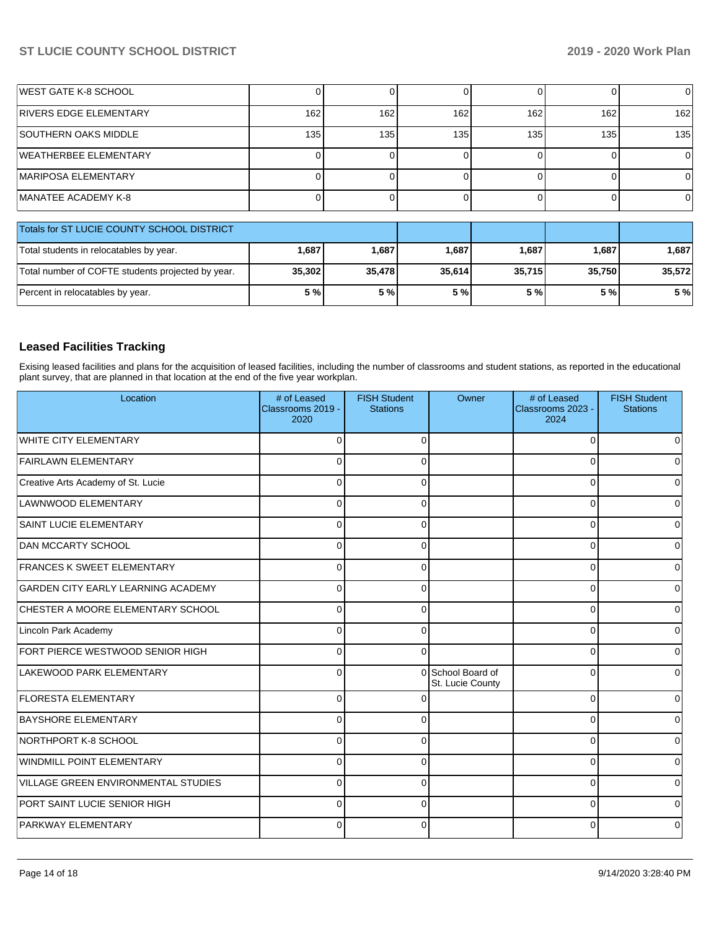| <b>IWEST GATE K-8 SCHOOL</b>                      |              |        | 01     |        |        | 0        |
|---------------------------------------------------|--------------|--------|--------|--------|--------|----------|
| <b>RIVERS EDGE ELEMENTARY</b>                     | 162          | 162    | 162    | 162    | 162    | 162      |
| <b>SOUTHERN OAKS MIDDLE</b>                       | 135          | 135    | 135    | 135    | 135    | 135      |
| WEATHERBEE ELEMENTARY                             |              |        | ΩI     |        |        | $\Omega$ |
| <b>IMARIPOSA ELEMENTARY</b>                       |              |        | ΩI     |        |        | 0        |
| MANATEE ACADEMY K-8                               | <sup>0</sup> |        | Οl     |        |        | $\Omega$ |
| Totals for ST LUCIE COUNTY SCHOOL DISTRICT        |              |        |        |        |        |          |
| Total students in relocatables by year.           | 1,687        | 1,687  | 1,687  | 1,687  | 1,687  | 1,687    |
| Total number of COFTE students projected by year. | 35,302       | 35,478 | 35,614 | 35,715 | 35,750 | 35,572   |
| Percent in relocatables by year.                  | 5 %          | 5 %    | 5 %    | 5 %    | 5 %    | 5 %      |

## **Leased Facilities Tracking**

Exising leased facilities and plans for the acquisition of leased facilities, including the number of classrooms and student stations, as reported in the educational plant survey, that are planned in that location at the end of the five year workplan.

| Location                                  | # of Leased<br>Classrooms 2019 -<br>2020 | <b>FISH Student</b><br><b>Stations</b> | Owner                                 | # of Leased<br>Classrooms 2023 -<br>2024 | <b>FISH Student</b><br><b>Stations</b> |
|-------------------------------------------|------------------------------------------|----------------------------------------|---------------------------------------|------------------------------------------|----------------------------------------|
| <b>WHITE CITY ELEMENTARY</b>              | $\Omega$                                 | ∩                                      |                                       | $\Omega$                                 |                                        |
| <b>FAIRLAWN ELEMENTARY</b>                | $\Omega$                                 | $\Omega$                               |                                       | 0                                        |                                        |
| Creative Arts Academy of St. Lucie        | $\Omega$                                 | $\Omega$                               |                                       | $\Omega$                                 |                                        |
| LAWNWOOD ELEMENTARY                       | $\Omega$                                 | $\Omega$                               |                                       | $\Omega$                                 |                                        |
| SAINT LUCIE ELEMENTARY                    | $\mathbf 0$                              | $\Omega$                               |                                       | $\Omega$                                 | U                                      |
| <b>DAN MCCARTY SCHOOL</b>                 | $\Omega$                                 | $\Omega$                               |                                       | 0                                        | o                                      |
| FRANCES K SWEET ELEMENTARY                | $\Omega$                                 | $\Omega$                               |                                       | $\Omega$                                 |                                        |
| <b>GARDEN CITY EARLY LEARNING ACADEMY</b> | $\Omega$                                 | $\Omega$                               |                                       | 0                                        |                                        |
| CHESTER A MOORE ELEMENTARY SCHOOL         | $\Omega$                                 | $\Omega$                               |                                       | $\Omega$                                 |                                        |
| Lincoln Park Academy                      | $\mathbf 0$                              | $\Omega$                               |                                       | 0                                        | 0                                      |
| FORT PIERCE WESTWOOD SENIOR HIGH          | $\Omega$                                 | $\Omega$                               |                                       | $\Omega$                                 | 0                                      |
| LAKEWOOD PARK ELEMENTARY                  | $\Omega$                                 |                                        | 0 School Board of<br>St. Lucie County | 0                                        |                                        |
| <b>FLORESTA ELEMENTARY</b>                | $\mathbf 0$                              |                                        |                                       | $\Omega$                                 |                                        |
| <b>BAYSHORE ELEMENTARY</b>                | $\Omega$                                 | $\Omega$                               |                                       | $\Omega$                                 |                                        |
| NORTHPORT K-8 SCHOOL                      | $\mathbf 0$                              | $\Omega$                               |                                       | $\Omega$                                 | ∩                                      |
| <b>WINDMILL POINT ELEMENTARY</b>          | $\Omega$                                 | $\Omega$                               |                                       | $\Omega$                                 |                                        |
| VILLAGE GREEN ENVIRONMENTAL STUDIES       | $\Omega$                                 | $\Omega$                               |                                       | 0                                        |                                        |
| PORT SAINT LUCIE SENIOR HIGH              | $\Omega$                                 | $\Omega$                               |                                       | 0                                        |                                        |
| <b>PARKWAY ELEMENTARY</b>                 | 0                                        | $\Omega$                               |                                       | 0                                        |                                        |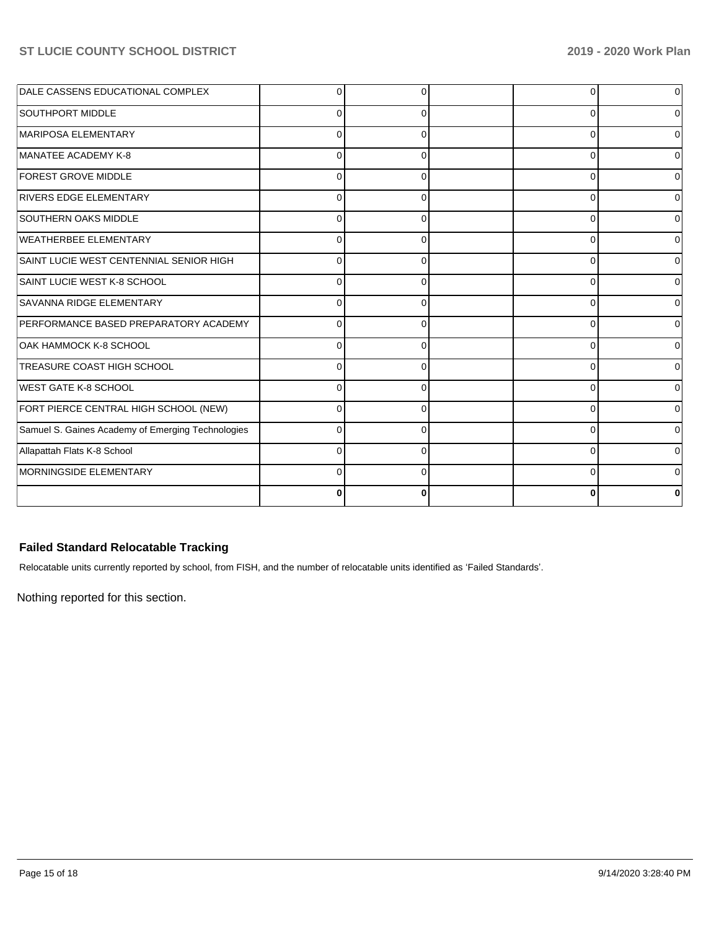| DALE CASSENS EDUCATIONAL COMPLEX                  | C        |          | 0        |  |
|---------------------------------------------------|----------|----------|----------|--|
| SOUTHPORT MIDDLE                                  | O        | O        | $\Omega$ |  |
| MARIPOSA ELEMENTARY                               | $\Omega$ | $\Omega$ | 0        |  |
| MANATEE ACADEMY K-8                               | $\Omega$ | 0        | 0        |  |
| <b>FOREST GROVE MIDDLE</b>                        | $\Omega$ | 0        | 0        |  |
| <b>RIVERS EDGE ELEMENTARY</b>                     | $\Omega$ | 0        | $\Omega$ |  |
| <b>SOUTHERN OAKS MIDDLE</b>                       |          | $\Omega$ | 0        |  |
| <b>WEATHERBEE ELEMENTARY</b>                      | $\Omega$ | O        | 0        |  |
| SAINT LUCIE WEST CENTENNIAL SENIOR HIGH           | C        |          | $\Omega$ |  |
| SAINT LUCIE WEST K-8 SCHOOL                       | $\Omega$ | O        | 0        |  |
| SAVANNA RIDGE ELEMENTARY                          | $\Omega$ | $\Omega$ | 0        |  |
| PERFORMANCE BASED PREPARATORY ACADEMY             | $\Omega$ | 0        | $\Omega$ |  |
| OAK HAMMOCK K-8 SCHOOL                            | C        | 0        | $\Omega$ |  |
| <b>TREASURE COAST HIGH SCHOOL</b>                 | 0        | 0        | $\Omega$ |  |
| <b>WEST GATE K-8 SCHOOL</b>                       | C        | 0        | $\Omega$ |  |
| FORT PIERCE CENTRAL HIGH SCHOOL (NEW)             | C        | ∩        | $\Omega$ |  |
| Samuel S. Gaines Academy of Emerging Technologies | C        |          | $\Omega$ |  |
| Allapattah Flats K-8 School                       | C        | $\Omega$ | 0        |  |
| MORNINGSIDE ELEMENTARY                            | C        | $\Omega$ | 0        |  |
|                                                   |          |          | 0        |  |

## **Failed Standard Relocatable Tracking**

Relocatable units currently reported by school, from FISH, and the number of relocatable units identified as 'Failed Standards'.

Nothing reported for this section.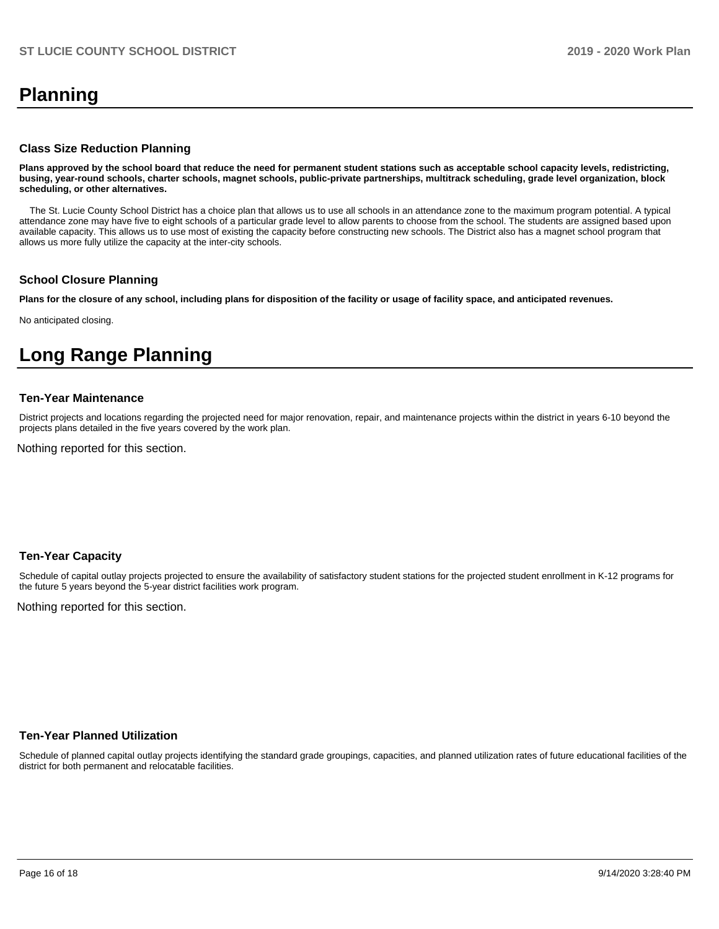# **Planning**

#### **Class Size Reduction Planning**

**Plans approved by the school board that reduce the need for permanent student stations such as acceptable school capacity levels, redistricting, busing, year-round schools, charter schools, magnet schools, public-private partnerships, multitrack scheduling, grade level organization, block scheduling, or other alternatives.**

 The St. Lucie County School District has a choice plan that allows us to use all schools in an attendance zone to the maximum program potential. A typical attendance zone may have five to eight schools of a particular grade level to allow parents to choose from the school. The students are assigned based upon available capacity. This allows us to use most of existing the capacity before constructing new schools. The District also has a magnet school program that allows us more fully utilize the capacity at the inter-city schools.

#### **School Closure Planning**

**Plans for the closure of any school, including plans for disposition of the facility or usage of facility space, and anticipated revenues.** 

No anticipated closing.

# **Long Range Planning**

#### **Ten-Year Maintenance**

District projects and locations regarding the projected need for major renovation, repair, and maintenance projects within the district in years 6-10 beyond the projects plans detailed in the five years covered by the work plan.

Nothing reported for this section.

#### **Ten-Year Capacity**

Schedule of capital outlay projects projected to ensure the availability of satisfactory student stations for the projected student enrollment in K-12 programs for the future 5 years beyond the 5-year district facilities work program.

Nothing reported for this section.

### **Ten-Year Planned Utilization**

Schedule of planned capital outlay projects identifying the standard grade groupings, capacities, and planned utilization rates of future educational facilities of the district for both permanent and relocatable facilities.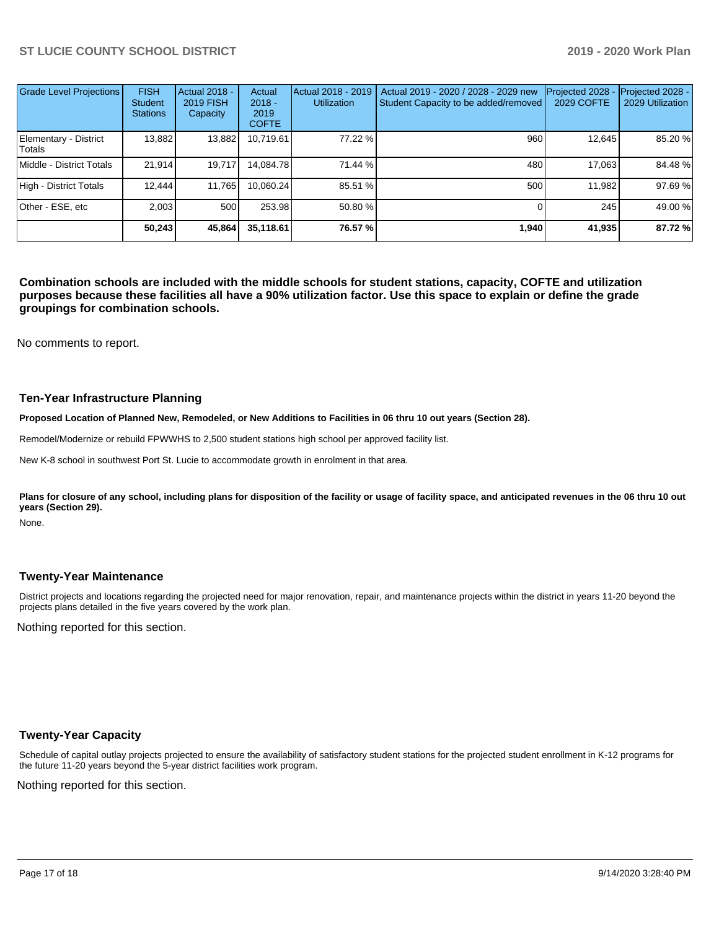| Grade Level Projections         | <b>FISH</b><br><b>Student</b><br><b>Stations</b> | Actual 2018 -<br><b>2019 FISH</b><br>Capacity | Actual<br>$2018 -$<br>2019<br><b>COFTE</b> | Actual 2018 - 2019<br><b>Utilization</b> | Actual 2019 - 2020 / 2028 - 2029 new<br>Student Capacity to be added/removed | Projected 2028<br>2029 COFTE | Projected 2028 -<br>2029 Utilization |
|---------------------------------|--------------------------------------------------|-----------------------------------------------|--------------------------------------------|------------------------------------------|------------------------------------------------------------------------------|------------------------------|--------------------------------------|
| Elementary - District<br>Totals | 13,882                                           | 13,882                                        | 10,719.61                                  | 77.22 %                                  | 960                                                                          | 12,645                       | 85.20 %                              |
| Middle - District Totals        | 21.914                                           | 19.717                                        | 14.084.78                                  | 71.44 %                                  | 480                                                                          | 17.063                       | 84.48 %                              |
| High - District Totals          | 12.444                                           | 11,765                                        | 10.060.24                                  | 85.51 %                                  | 500                                                                          | 11.982                       | 97.69%                               |
| Other - ESE, etc                | 2.003                                            | 500                                           | 253.98                                     | 50.80 %                                  |                                                                              | 245                          | 49.00 %                              |
|                                 | 50.243                                           | 45,864                                        | 35,118.61                                  | 76.57 %                                  | 1.940                                                                        | 41,935                       | 87.72 %                              |

**Combination schools are included with the middle schools for student stations, capacity, COFTE and utilization purposes because these facilities all have a 90% utilization factor. Use this space to explain or define the grade groupings for combination schools.** 

No comments to report.

#### **Ten-Year Infrastructure Planning**

**Proposed Location of Planned New, Remodeled, or New Additions to Facilities in 06 thru 10 out years (Section 28).**

Remodel/Modernize or rebuild FPWWHS to 2,500 student stations high school per approved facility list.

New K-8 school in southwest Port St. Lucie to accommodate growth in enrolment in that area.

Plans for closure of any school, including plans for disposition of the facility or usage of facility space, and anticipated revenues in the 06 thru 10 out **years (Section 29).**

None.

#### **Twenty-Year Maintenance**

District projects and locations regarding the projected need for major renovation, repair, and maintenance projects within the district in years 11-20 beyond the projects plans detailed in the five years covered by the work plan.

Nothing reported for this section.

#### **Twenty-Year Capacity**

Schedule of capital outlay projects projected to ensure the availability of satisfactory student stations for the projected student enrollment in K-12 programs for the future 11-20 years beyond the 5-year district facilities work program.

Nothing reported for this section.